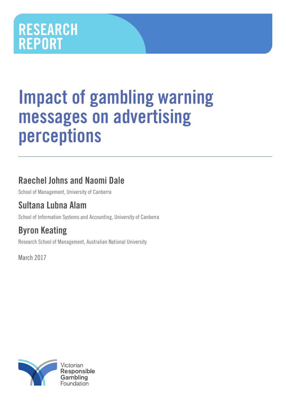# RESEARCH REPORT

# Impact of gambling warning messages on advertising perceptions

# Raechel Johns and Naomi Dale

School of Management, University of Canberra

# Sultana Lubna Alam

School of Information Systems and Accounting, University of Canberra

# Byron Keating

Research School of Management, Australian National University

March 2017

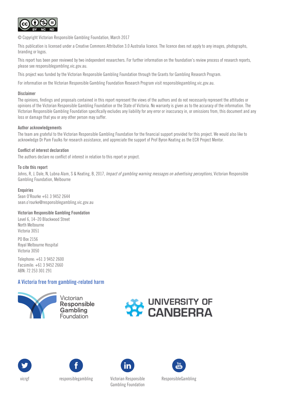

© Copyright Victorian Responsible Gambling Foundation, March 2017

This publication is licensed under a Creative Commons Attribution 3.0 Australia licence. The licence does not apply to any images, photographs, branding or logos.

This report has been peer reviewed by two independent researchers. For further information on the foundation's review process of research reports, please see responsiblegambling.vic.gov.au.

This project was funded by the Victorian Responsible Gambling Foundation through the Grants for Gambling Research Program.

For information on the Victorian Responsible Gambling Foundation Research Program visit responsiblegambling.vic.gov.au.

#### **Disclaimer**

The opinions, findings and proposals contained in this report represent the views of the authors and do not necessarily represent the attitudes or opinions of the Victorian Responsible Gambling Foundation or the State of Victoria. No warranty is given as to the accuracy of the information. The Victorian Responsible Gambling Foundation specifically excludes any liability for any error or inaccuracy in, or omissions from, this document and any loss or damage that you or any other person may suffer.

#### Author acknowledgements

The team are grateful to the Victorian Responsible Gambling Foundation for the financial support provided for this project. We would also like to acknowledge Dr Pam Faulks for research assistance, and appreciate the support of Prof Byron Keating as the ECR Project Mentor.

#### Conflict of interest declaration

The authors declare no conflict of interest in relation to this report or project.

#### To cite this report

Johns, R, J, Dale, N, Lubna Alam, S & Keating, B, 2017, *Impact of gambling warning messages on advertising perceptions*, Victorian Responsible Gambling Foundation, Melbourne

#### **Enquiries**

Sean O'Rourke +61 3 9452 2644 sean.o'rourke@responsiblegambling.vic.gov.au

#### Victorian Responsible Gambling Foundation

Level 6, 14–20 Blackwood Street North Melbourne Victoria 3051

PO Box 2156 Royal Melbourne Hospital Victoria 3050

Telephone: +61 3 9452 2600 Facsimile: +61 3 9452 2660 ABN: 72 253 301 291

### A Victoria free from gambling-related harm



Victorian **Responsible** Gambling **Foundation** 







vicrgf responsiblegambling Victorian Responsible

Gambling Foundation

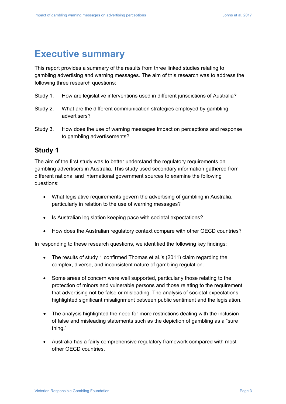# **Executive summary**

This report provides a summary of the results from three linked studies relating to gambling advertising and warning messages. The aim of this research was to address the following three research questions:

- Study 1. How are legislative interventions used in different jurisdictions of Australia?
- Study 2. What are the different communication strategies employed by gambling advertisers?
- Study 3. How does the use of warning messages impact on perceptions and response to gambling advertisements?

# **Study 1**

The aim of the first study was to better understand the regulatory requirements on gambling advertisers in Australia. This study used secondary information gathered from different national and international government sources to examine the following questions:

- What legislative requirements govern the advertising of gambling in Australia, particularly in relation to the use of warning messages?
- Is Australian legislation keeping pace with societal expectations?
- How does the Australian regulatory context compare with other OECD countries?

In responding to these research questions, we identified the following key findings:

- The results of study 1 confirmed Thomas et al.'s (2011) claim regarding the complex, diverse, and inconsistent nature of gambling regulation.
- Some areas of concern were well supported, particularly those relating to the protection of minors and vulnerable persons and those relating to the requirement that advertising not be false or misleading. The analysis of societal expectations highlighted significant misalignment between public sentiment and the legislation.
- The analysis highlighted the need for more restrictions dealing with the inclusion of false and misleading statements such as the depiction of gambling as a "sure thing."
- Australia has a fairly comprehensive regulatory framework compared with most other OECD countries.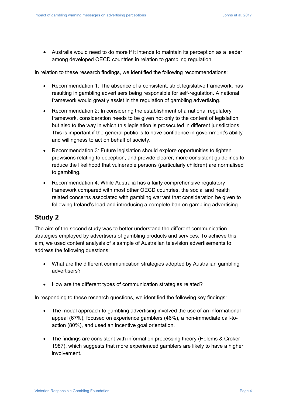Australia would need to do more if it intends to maintain its perception as a leader among developed OECD countries in relation to gambling regulation.

In relation to these research findings, we identified the following recommendations:

- Recommendation 1: The absence of a consistent, strict legislative framework, has resulting in gambling advertisers being responsible for self-regulation. A national framework would greatly assist in the regulation of gambling advertising.
- Recommendation 2: In considering the establishment of a national regulatory framework, consideration needs to be given not only to the content of legislation, but also to the way in which this legislation is prosecuted in different jurisdictions. This is important if the general public is to have confidence in government's ability and willingness to act on behalf of society.
- Recommendation 3: Future legislation should explore opportunities to tighten provisions relating to deception, and provide clearer, more consistent guidelines to reduce the likelihood that vulnerable persons (particularly children) are normalised to gambling.
- Recommendation 4: While Australia has a fairly comprehensive regulatory framework compared with most other OECD countries, the social and health related concerns associated with gambling warrant that consideration be given to following Ireland's lead and introducing a complete ban on gambling advertising.

# **Study 2**

The aim of the second study was to better understand the different communication strategies employed by advertisers of gambling products and services. To achieve this aim, we used content analysis of a sample of Australian television advertisements to address the following questions:

- What are the different communication strategies adopted by Australian gambling advertisers?
- How are the different types of communication strategies related?

In responding to these research questions, we identified the following key findings:

- The modal approach to gambling advertising involved the use of an informational appeal (67%), focused on experience gamblers (46%), a non-immediate call-toaction (80%), and used an incentive goal orientation.
- The findings are consistent with information processing theory (Holems & Croker 1987), which suggests that more experienced gamblers are likely to have a higher involvement.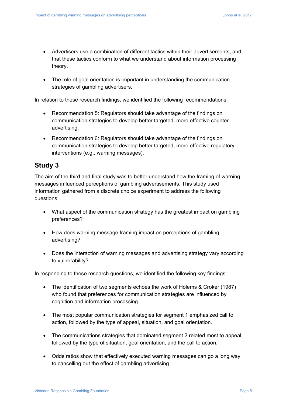- Advertisers use a combination of different tactics within their advertisements, and that these tactics conform to what we understand about information processing theory.
- The role of goal orientation is important in understanding the communication strategies of gambling advertisers.

In relation to these research findings, we identified the following recommendations:

- Recommendation 5: Regulators should take advantage of the findings on communication strategies to develop better targeted, more effective counter advertising.
- Recommendation 6: Regulators should take advantage of the findings on communication strategies to develop better targeted, more effective regulatory interventions (e.g., warning messages).

# **Study 3**

The aim of the third and final study was to better understand how the framing of warning messages influenced perceptions of gambling advertisements. This study used information gathered from a discrete choice experiment to address the following questions:

- What aspect of the communication strategy has the greatest impact on gambling preferences?
- How does warning message framing impact on perceptions of gambling advertising?
- Does the interaction of warning messages and advertising strategy vary according to vulnerability?

In responding to these research questions, we identified the following key findings:

- The identification of two segments echoes the work of Holems & Croker (1987) who found that preferences for communication strategies are influenced by cognition and information processing.
- The most popular communication strategies for segment 1 emphasized call to action, followed by the type of appeal, situation, and goal orientation.
- The communications strategies that dominated segment 2 related most to appeal, followed by the type of situation, goal orientation, and the call to action.
- Odds ratios show that effectively executed warning messages can go a long way to cancelling out the effect of gambling advertising.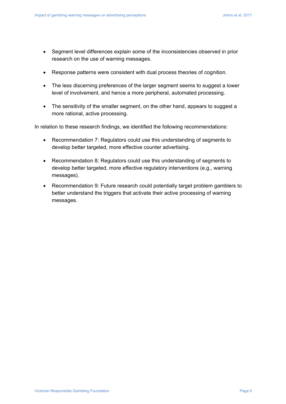- Segment level differences explain some of the inconsistencies observed in prior research on the use of warning messages.
- Response patterns were consistent with dual process theories of cognition.
- The less discerning preferences of the larger segment seems to suggest a lower level of involvement, and hence a more peripheral, automated processing.
- The sensitivity of the smaller segment, on the other hand, appears to suggest a more rational, active processing.

In relation to these research findings, we identified the following recommendations:

- Recommendation 7: Regulators could use this understanding of segments to develop better targeted, more effective counter advertising.
- Recommendation 8: Regulators could use this understanding of segments to develop better targeted, more effective regulatory interventions (e.g., warning messages).
- Recommendation 9: Future research could potentially target problem gamblers to better understand the triggers that activate their active processing of warning messages.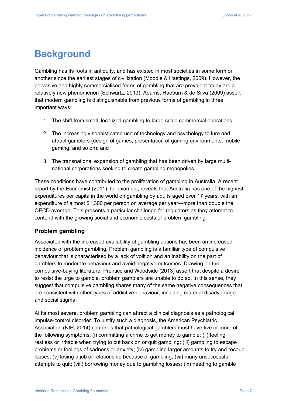# **Background**

Gambling has its roots in antiquity, and has existed in most societies in some form or another since the earliest stages of civilization (Moodie & Hastings, 2009). However, the pervasive and highly commercialised forms of gambling that are prevalent today are a relatively new phenomenon (Schwartz, 2013). Adams, Raeburn & de Silva (2009) assert that modern gambling is distinguishable from previous forms of gambling in three important ways:

- 1. The shift from small, localized gambling to large-scale commercial operations;
- 2. The increasingly sophisticated use of technology and psychology to lure and attract gamblers (design of games, presentation of gaming environments, mobile gaming, and so on); and
- 3. The transnational expansion of gambling that has been driven by large multinational corporations seeking to create gambling monopolies.

These conditions have contributed to the proliferation of gambling in Australia. A recent report by the Economist (2011), for example, reveals that Australia has one of the highest expenditures per capita in the world on gambling by adults aged over 17 years, with an expenditure of almost \$1,300 per person on average per year—more than double the OECD average. This presents a particular challenge for regulators as they attempt to contend with the growing social and economic costs of problem gambling.

### **Problem gambling**

Associated with the increased availability of gambling options has been an increased incidence of problem gambling. Problem gambling is a familiar type of compulsive behaviour that is characterised by a lack of volition and an inability on the part of gamblers to moderate behaviour and avoid negative outcomes. Drawing on the compulsive-buying literature, Prentice and Woodside (2013) assert that despite a desire to resist the urge to gamble, problem gamblers are unable to do so. In this sense, they suggest that compulsive gambling shares many of the same negative consequences that are consistent with other types of addictive behaviour, including material disadvantage and social stigma.

At its most severe, problem gambling can attract a clinical diagnosis as a pathological impulse-control disorder. To justify such a diagnosis, the American Psychiatric Association (NIH, 2014) contends that pathological gamblers must have five or more of the following symptoms: (i) committing a crime to get money to gamble; (ii) feeling restless or irritable when trying to cut back on or quit gambling; (iii) gambling to escape problems or feelings of sadness or anxiety; (iv) gambling larger amounts to try and recoup losses; (v) losing a job or relationship because of gambling; (vii) many unsuccessful attempts to quit; (viii) borrowing money due to gambling losses; (ix) needing to gamble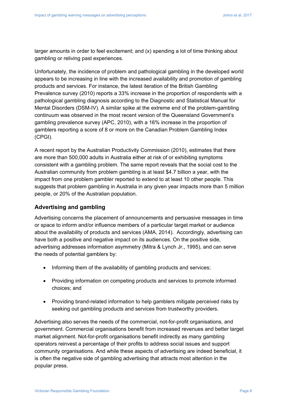larger amounts in order to feel excitement; and (x) spending a lot of time thinking about gambling or reliving past experiences.

Unfortunately, the incidence of problem and pathological gambling in the developed world appears to be increasing in line with the increased availability and promotion of gambling products and services. For instance, the latest iteration of the British Gambling Prevalence survey (2010) reports a 33% increase in the proportion of respondents with a pathological gambling diagnosis according to the Diagnostic and Statistical Manual for Mental Disorders (DSM-IV). A similar spike at the extreme end of the problem-gambling continuum was observed in the most recent version of the Queensland Government's gambling prevalence survey (APC, 2010), with a 16% increase in the proportion of gamblers reporting a score of 8 or more on the Canadian Problem Gambling Index (CPGI).

A recent report by the Australian Productivity Commission (2010), estimates that there are more than 500,000 adults in Australia either at risk of or exhibiting symptoms consistent with a gambling problem. The same report reveals that the social cost to the Australian community from problem gambling is at least \$4.7 billion a year, with the impact from one problem gambler reported to extend to at least 10 other people. This suggests that problem gambling in Australia in any given year impacts more than 5 million people, or 20% of the Australian population.

### **Advertising and gambling**

Advertising concerns the placement of announcements and persuasive messages in time or space to inform and/or influence members of a particular target market or audience about the availability of products and services (AMA, 2014). Accordingly, advertising can have both a positive and negative impact on its audiences. On the positive side, advertising addresses information asymmetry (Mitra & Lynch Jr., 1995), and can serve the needs of potential gamblers by:

- Informing them of the availability of gambling products and services;
- Providing information on competing products and services to promote informed choices; and
- Providing brand-related information to help gamblers mitigate perceived risks by seeking out gambling products and services from trustworthy providers.

Advertising also serves the needs of the commercial, not-for-profit organisations, and government. Commercial organisations benefit from increased revenues and better target market alignment. Not-for-profit organisations benefit indirectly as many gambling operators reinvest a percentage of their profits to address social issues and support community organisations. And while these aspects of advertising are indeed beneficial, it is often the negative side of gambling advertising that attracts most attention in the popular press.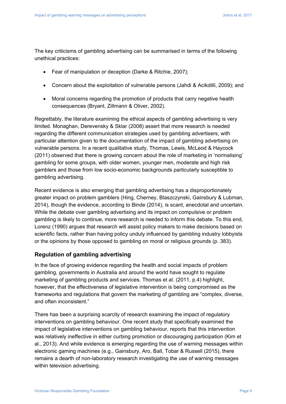The key criticisms of gambling advertising can be summarised in terms of the following unethical practices:

- Fear of manipulation or deception (Darke & Ritchie, 2007);
- Concern about the exploitation of vulnerable persons (Jahdi & Acikdilli, 2009); and
- Moral concerns regarding the promotion of products that carry negative health consequences (Bryant, Zillmann & Oliver, 2002).

Regrettably, the literature examining the ethical aspects of gambling advertising is very limited. Monaghan, Derevensky & Sklar (2008) assert that more research is needed regarding the different communication strategies used by gambling advertisers, with particular attention given to the documentation of the impact of gambling advertising on vulnerable persons. In a recent qualitative study, Thomas, Lewis, McLeod & Haycock (2011) observed that there is growing concern about the role of marketing in 'normalising' gambling for some groups, with older women, younger men, moderate and high risk gamblers and those from low socio-economic backgrounds particularly susceptible to gambling advertising.

Recent evidence is also emerging that gambling advertising has a disproportionately greater impact on problem gamblers (Hing, Cherney, Blaszczynski, Gainsbury & Lubman, 2014), though the evidence, according to Binde (2014), is scant, anecdotal and uncertain. While the debate over gambling advertising and its impact on compulsive or problem gambling is likely to continue, more research is needed to inform this debate. To this end, Lorenz (1990) argues that research will assist policy makers to make decisions based on scientific facts, rather than having policy unduly influenced by gambling industry lobbyists or the opinions by those opposed to gambling on moral or religious grounds (p. 383).

### **Regulation of gambling advertising**

In the face of growing evidence regarding the health and social impacts of problem gambling, governments in Australia and around the world have sought to regulate marketing of gambling products and services. Thomas et al. (2011, p.4) highlight, however, that the effectiveness of legislative intervention is being compromised as the frameworks and regulations that govern the marketing of gambling are "complex, diverse, and often inconsistent."

There has been a surprising scarcity of research examining the impact of regulatory interventions on gambling behaviour. One recent study that specifically examined the impact of legislative interventions on gambling behaviour, reports that this intervention was relatively ineffective in either curbing promotion or discouraging participation (Kim et al., 2013). And while evidence is emerging regarding the use of warning messages within electronic gaming machines (e.g., Gainsbury, Aro, Ball, Tobar & Russell (2015), there remains a dearth of non-laboratory research investigating the use of warning messages within television advertising.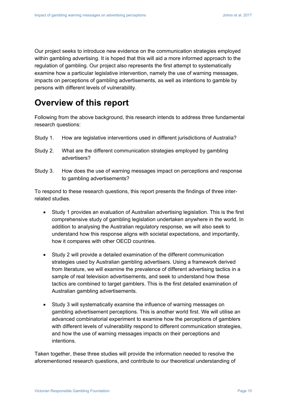Our project seeks to introduce new evidence on the communication strategies employed within gambling advertising. It is hoped that this will aid a more informed approach to the regulation of gambling. Our project also represents the first attempt to systematically examine how a particular legislative intervention, namely the use of warning messages, impacts on perceptions of gambling advertisements, as well as intentions to gamble by persons with different levels of vulnerability.

# **Overview of this report**

Following from the above background, this research intends to address three fundamental research questions:

- Study 1. How are legislative interventions used in different jurisdictions of Australia?
- Study 2. What are the different communication strategies employed by gambling advertisers?
- Study 3. How does the use of warning messages impact on perceptions and response to gambling advertisements?

To respond to these research questions, this report presents the findings of three interrelated studies.

- Study 1 provides an evaluation of Australian advertising legislation. This is the first comprehensive study of gambling legislation undertaken anywhere in the world. In addition to analysing the Australian regulatory response, we will also seek to understand how this response aligns with societal expectations, and importantly, how it compares with other OECD countries.
- Study 2 will provide a detailed examination of the different communication strategies used by Australian gambling advertisers. Using a framework derived from literature, we will examine the prevalence of different advertising tactics in a sample of real television advertisements, and seek to understand how these tactics are combined to target gamblers. This is the first detailed examination of Australian gambling advertisements.
- Study 3 will systematically examine the influence of warning messages on gambling advertisement perceptions. This is another world first. We will utilise an advanced combinatorial experiment to examine how the perceptions of gamblers with different levels of vulnerability respond to different communication strategies, and how the use of warning messages impacts on their perceptions and intentions.

Taken together, these three studies will provide the information needed to resolve the aforementioned research questions, and contribute to our theoretical understanding of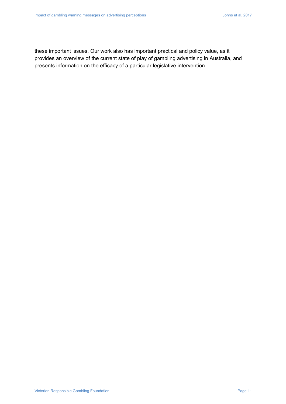these important issues. Our work also has important practical and policy value, as it provides an overview of the current state of play of gambling advertising in Australia, and presents information on the efficacy of a particular legislative intervention.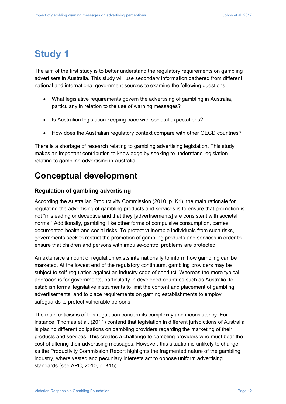# **Study 1**

The aim of the first study is to better understand the regulatory requirements on gambling advertisers in Australia. This study will use secondary information gathered from different national and international government sources to examine the following questions:

- What legislative requirements govern the advertising of gambling in Australia, particularly in relation to the use of warning messages?
- Is Australian legislation keeping pace with societal expectations?
- How does the Australian regulatory context compare with other OECD countries?

There is a shortage of research relating to gambling advertising legislation. This study makes an important contribution to knowledge by seeking to understand legislation relating to gambling advertising in Australia.

# **Conceptual development**

## **Regulation of gambling advertising**

According the Australian Productivity Commission (2010, p. K1), the main rationale for regulating the advertising of gambling products and services is to ensure that promotion is not "misleading or deceptive and that they [advertisements] are consistent with societal norms." Additionally, gambling, like other forms of compulsive consumption, carries documented health and social risks. To protect vulnerable individuals from such risks, governments seek to restrict the promotion of gambling products and services in order to ensure that children and persons with impulse-control problems are protected.

An extensive amount of regulation exists internationally to inform how gambling can be marketed. At the lowest end of the regulatory continuum, gambling providers may be subject to self-regulation against an industry code of conduct. Whereas the more typical approach is for governments, particularly in developed countries such as Australia, to establish formal legislative instruments to limit the content and placement of gambling advertisements, and to place requirements on gaming establishments to employ safeguards to protect vulnerable persons.

The main criticisms of this regulation concern its complexity and inconsistency. For instance, Thomas et al. (2011) contend that legislation in different jurisdictions of Australia is placing different obligations on gambling providers regarding the marketing of their products and services. This creates a challenge to gambling providers who must bear the cost of altering their advertising messages. However, this situation is unlikely to change, as the Productivity Commission Report highlights the fragmented nature of the gambling industry, where vested and pecuniary interests act to oppose uniform advertising standards (see APC, 2010, p. K15).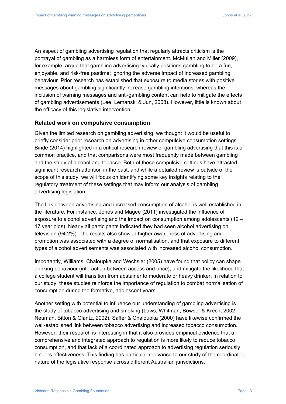An aspect of gambling advertising regulation that regularly attracts criticism is the portrayal of gambling as a harmless form of entertainment. McMullan and Miller (2009), for example, argue that gambling advertising typically positions gambling to be a fun, enjoyable, and risk-free pastime; ignoring the adverse impact of increased gambling behaviour. Prior research has established that exposure to media stories with positive messages about gambling significantly increase gambling intentions, whereas the inclusion of warning messages and anti-gambling content can help to mitigate the effects of gambling advertisements (Lee, Lemanski & Jun, 2008). However, little is known about the efficacy of this legislative intervention.

#### **Related work on compulsive consumption**

Given the limited research on gambling advertising, we thought it would be useful to briefly consider prior research on advertising in other compulsive consumption settings. Binde (2014) highlighted in a critical research review of gambling advertising that this is a common practice, and that comparisons were most frequently made between gambling and the study of alcohol and tobacco. Both of these compulsive settings have attracted significant research attention in the past, and while a detailed review is outside of the scope of this study, we will focus on identifying some key insights relating to the regulatory treatment of these settings that may inform our analysis of gambling advertising legislation.

The link between advertising and increased consumption of alcohol is well established in the literature. For instance, Jones and Magee (2011) investigated the influence of exposure to alcohol advertising and the impact on consumption among adolescents (12 – 17 year olds). Nearly all participants indicated they had seen alcohol advertising on television (94.2%). The results also showed higher awareness of advertising and promotion was associated with a degree of normalisation, and that exposure to different types of alcohol advertisements was associated with increased alcohol consumption.

Importantly, Williams, Chaloupka and Wechsler (2005) have found that policy can shape drinking behaviour (interaction between access and price), and mitigate the likelihood that a college student will transition from abstainer to moderate or heavy drinker. In relation to our study, these studies reinforce the importance of regulation to combat normalisation of consumption during the formative, adolescent years.

Another setting with potential to influence our understanding of gambling advertising is the study of tobacco advertising and smoking (Laws, Whitman, Bowser & Krech, 2002; Neuman, Bitton & Glantz, 2002). Saffer & Chaloupka (2000) have likewise confirmed the well-established link between tobacco advertising and increased tobacco consumption. However, their research is interesting in that it also provides empirical evidence that a comprehensive and integrated approach to regulation is more likely to reduce tobacco consumption, and that lack of a coordinated approach to advertising regulation seriously hinders effectiveness. This finding has particular relevance to our study of the coordinated nature of the legislative response across different Australian jurisdictions.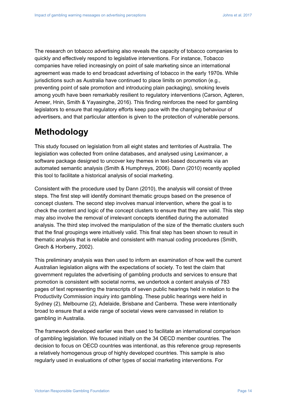The research on tobacco advertising also reveals the capacity of tobacco companies to quickly and effectively respond to legislative interventions. For instance, Tobacco companies have relied increasingly on point of sale marketing since an international agreement was made to end broadcast advertising of tobacco in the early 1970s. While jurisdictions such as Australia have continued to place limits on promotion (e.g., preventing point of sale promotion and introducing plain packaging), smoking levels among youth have been remarkably resilient to regulatory interventions (Carson, Agteren, Ameer, Hnin, Smith & Yayasinghe, 2016). This finding reinforces the need for gambling legislators to ensure that regulatory efforts keep pace with the changing behaviour of advertisers, and that particular attention is given to the protection of vulnerable persons.

# **Methodology**

This study focused on legislation from all eight states and territories of Australia. The legislation was collected from online databases, and analysed using Leximancer, a software package designed to uncover key themes in text-based documents via an automated semantic analysis (Smith & Humphreys, 2006). Dann (2010) recently applied this tool to facilitate a historical analysis of social marketing.

Consistent with the procedure used by Dann (2010), the analysis will consist of three steps. The first step will identify dominant thematic groups based on the presence of concept clusters. The second step involves manual intervention, where the goal is to check the content and logic of the concept clusters to ensure that they are valid. This step may also involve the removal of irrelevant concepts identified during the automated analysis. The third step involved the manipulation of the size of the thematic clusters such that the final groupings were intuitively valid. This final step has been shown to result in thematic analysis that is reliable and consistent with manual coding procedures (Smith, Grech & Horberry, 2002).

This preliminary analysis was then used to inform an examination of how well the current Australian legislation aligns with the expectations of society. To test the claim that government regulates the advertising of gambling products and services to ensure that promotion is consistent with societal norms, we undertook a content analysis of 783 pages of text representing the transcripts of seven public hearings held in relation to the Productivity Commission inquiry into gambling. These public hearings were held in Sydney (2), Melbourne (2), Adelaide, Brisbane and Canberra. These were intentionally broad to ensure that a wide range of societal views were canvassed in relation to gambling in Australia.

The framework developed earlier was then used to facilitate an international comparison of gambling legislation. We focused initially on the 34 OECD member countries. The decision to focus on OECD countries was intentional, as this reference group represents a relatively homogenous group of highly developed countries. This sample is also regularly used in evaluations of other types of social marketing interventions. For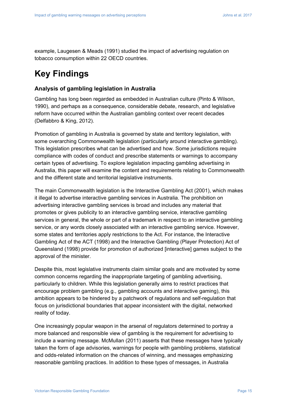example, Laugesen & Meads (1991) studied the impact of advertising regulation on tobacco consumption within 22 OECD countries.

# **Key Findings**

### **Analysis of gambling legislation in Australia**

Gambling has long been regarded as embedded in Australian culture (Pinto & Wilson, 1990), and perhaps as a consequence, considerable debate, research, and legislative reform have occurred within the Australian gambling context over recent decades (Delfabbro & King, 2012).

Promotion of gambling in Australia is governed by state and territory legislation, with some overarching Commonwealth legislation (particularly around interactive gambling). This legislation prescribes what can be advertised and how. Some jurisdictions require compliance with codes of conduct and prescribe statements or warnings to accompany certain types of advertising. To explore legislation impacting gambling advertising in Australia, this paper will examine the content and requirements relating to Commonwealth and the different state and territorial legislative instruments.

The main Commonwealth legislation is the Interactive Gambling Act (2001), which makes it illegal to advertise interactive gambling services in Australia. The prohibition on advertising interactive gambling services is broad and includes any material that promotes or gives publicity to an interactive gambling service, interactive gambling services in general, the whole or part of a trademark in respect to an interactive gambling service, or any words closely associated with an interactive gambling service. However, some states and territories apply restrictions to the Act. For instance, the Interactive Gambling Act of the ACT (1998) and the Interactive Gambling (Player Protection) Act of Queensland (1998) provide for promotion of authorized [interactive] games subject to the approval of the minister.

Despite this, most legislative instruments claim similar goals and are motivated by some common concerns regarding the inappropriate targeting of gambling advertising, particularly to children. While this legislation generally aims to restrict practices that encourage problem gambling (e.g., gambling accounts and interactive gaming), this ambition appears to be hindered by a patchwork of regulations and self-regulation that focus on jurisdictional boundaries that appear inconsistent with the digital, networked reality of today.

One increasingly popular weapon in the arsenal of regulators determined to portray a more balanced and responsible view of gambling is the requirement for advertising to include a warning message. McMullan (2011) asserts that these messages have typically taken the form of age advisories, warnings for people with gambling problems, statistical and odds-related information on the chances of winning, and messages emphasizing reasonable gambling practices. In addition to these types of messages, in Australia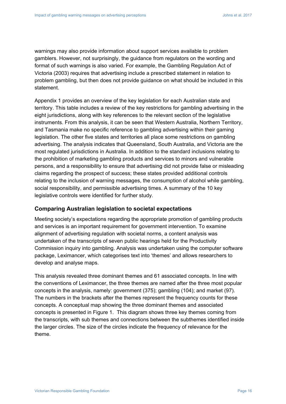warnings may also provide information about support services available to problem gamblers. However, not surprisingly, the guidance from regulators on the wording and format of such warnings is also varied. For example, the Gambling Regulation Act of Victoria (2003) requires that advertising include a prescribed statement in relation to problem gambling, but then does not provide guidance on what should be included in this statement.

Appendix 1 provides an overview of the key legislation for each Australian state and territory. This table includes a review of the key restrictions for gambling advertising in the eight jurisdictions, along with key references to the relevant section of the legislative instruments. From this analysis, it can be seen that Western Australia, Northern Territory, and Tasmania make no specific reference to gambling advertising within their gaming legislation. The other five states and territories all place some restrictions on gambling advertising. The analysis indicates that Queensland, South Australia, and Victoria are the most regulated jurisdictions in Australia. In addition to the standard inclusions relating to the prohibition of marketing gambling products and services to minors and vulnerable persons, and a responsibility to ensure that advertising did not provide false or misleading claims regarding the prospect of success; these states provided additional controls relating to the inclusion of warning messages, the consumption of alcohol while gambling, social responsibility, and permissible advertising times. A summary of the 10 key legislative controls were identified for further study.

#### **Comparing Australian legislation to societal expectations**

Meeting society's expectations regarding the appropriate promotion of gambling products and services is an important requirement for government intervention. To examine alignment of advertising regulation with societal norms, a content analysis was undertaken of the transcripts of seven public hearings held for the Productivity Commission inquiry into gambling. Analysis was undertaken using the computer software package, Leximancer, which categorises text into 'themes' and allows researchers to develop and analyse maps.

This analysis revealed three dominant themes and 61 associated concepts. In line with the conventions of Leximancer, the three themes are named after the three most popular concepts in the analysis, namely: government (375); gambling (104); and market (97). The numbers in the brackets after the themes represent the frequency counts for these concepts. A conceptual map showing the three dominant themes and associated concepts is presented in Figure 1. This diagram shows three key themes coming from the transcripts, with sub themes and connections between the subthemes identified inside the larger circles. The size of the circles indicate the frequency of relevance for the theme.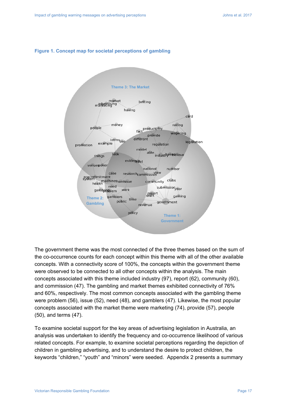#### **Figure 1. Concept map for societal perceptions of gambling**



The government theme was the most connected of the three themes based on the sum of the co-occurrence counts for each concept within this theme with all of the other available concepts. With a connectivity score of 100%, the concepts within the government theme were observed to be connected to all other concepts within the analysis. The main concepts associated with this theme included industry (97), report (62), community (60), and commission (47). The gambling and market themes exhibited connectivity of 76% and 60%, respectively. The most common concepts associated with the gambling theme were problem (56), issue (52), need (48), and gamblers (47). Likewise, the most popular concepts associated with the market theme were marketing (74), provide (57), people (50), and terms (47).

To examine societal support for the key areas of advertising legislation in Australia, an analysis was undertaken to identify the frequency and co-occurrence likelihood of various related concepts. For example, to examine societal perceptions regarding the depiction of children in gambling advertising, and to understand the desire to protect children, the keywords "children," "youth" and "minors" were seeded. Appendix 2 presents a summary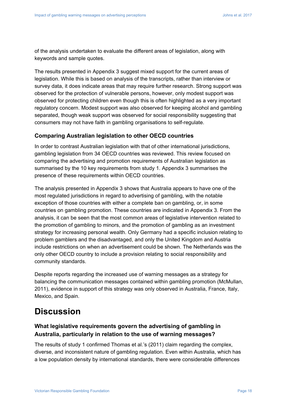of the analysis undertaken to evaluate the different areas of legislation, along with keywords and sample quotes.

The results presented in Appendix 3 suggest mixed support for the current areas of legislation. While this is based on analysis of the transcripts, rather than interview or survey data, it does indicate areas that may require further research. Strong support was observed for the protection of vulnerable persons, however, only modest support was observed for protecting children even though this is often highlighted as a very important regulatory concern. Modest support was also observed for keeping alcohol and gambling separated, though weak support was observed for social responsibility suggesting that consumers may not have faith in gambling organisations to self-regulate.

### **Comparing Australian legislation to other OECD countries**

In order to contrast Australian legislation with that of other international jurisdictions, gambling legislation from 34 OECD countries was reviewed. This review focused on comparing the advertising and promotion requirements of Australian legislation as summarised by the 10 key requirements from study 1. Appendix 3 summarises the presence of these requirements within OECD countries.

The analysis presented in Appendix 3 shows that Australia appears to have one of the most regulated jurisdictions in regard to advertising of gambling, with the notable exception of those countries with either a complete ban on gambling, or, in some countries on gambling promotion. These countries are indicated in Appendix 3. From the analysis, it can be seen that the most common areas of legislative intervention related to the promotion of gambling to minors, and the promotion of gambling as an investment strategy for increasing personal wealth. Only Germany had a specific inclusion relating to problem gamblers and the disadvantaged, and only the United Kingdom and Austria include restrictions on when an advertisement could be shown. The Netherlands was the only other OECD country to include a provision relating to social responsibility and community standards.

Despite reports regarding the increased use of warning messages as a strategy for balancing the communication messages contained within gambling promotion (McMullan, 2011), evidence in support of this strategy was only observed in Australia, France, Italy, Mexico, and Spain.

# **Discussion**

# **What legislative requirements govern the advertising of gambling in Australia, particularly in relation to the use of warning messages?**

The results of study 1 confirmed Thomas et al.'s (2011) claim regarding the complex, diverse, and inconsistent nature of gambling regulation. Even within Australia, which has a low population density by international standards, there were considerable differences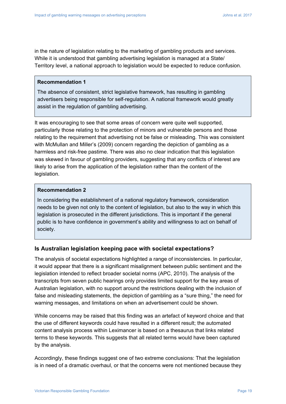in the nature of legislation relating to the marketing of gambling products and services. While it is understood that gambling advertising legislation is managed at a State/ Territory level, a national approach to legislation would be expected to reduce confusion.

#### **Recommendation 1**

The absence of consistent, strict legislative framework, has resulting in gambling advertisers being responsible for self-regulation. A national framework would greatly assist in the regulation of gambling advertising.

It was encouraging to see that some areas of concern were quite well supported, particularly those relating to the protection of minors and vulnerable persons and those relating to the requirement that advertising not be false or misleading. This was consistent with McMullan and Miller's (2009) concern regarding the depiction of gambling as a harmless and risk-free pastime. There was also no clear indication that this legislation was skewed in favour of gambling providers, suggesting that any conflicts of interest are likely to arise from the application of the legislation rather than the content of the legislation.

#### **Recommendation 2**

In considering the establishment of a national regulatory framework, consideration needs to be given not only to the content of legislation, but also to the way in which this legislation is prosecuted in the different jurisdictions. This is important if the general public is to have confidence in government's ability and willingness to act on behalf of society.

#### **Is Australian legislation keeping pace with societal expectations?**

The analysis of societal expectations highlighted a range of inconsistencies. In particular, it would appear that there is a significant misalignment between public sentiment and the legislation intended to reflect broader societal norms (APC, 2010). The analysis of the transcripts from seven public hearings only provides limited support for the key areas of Australian legislation, with no support around the restrictions dealing with the inclusion of false and misleading statements, the depiction of gambling as a "sure thing," the need for warning messages, and limitations on when an advertisement could be shown.

While concerns may be raised that this finding was an artefact of keyword choice and that the use of different keywords could have resulted in a different result; the automated content analysis process within Leximancer is based on a thesaurus that links related terms to these keywords. This suggests that all related terms would have been captured by the analysis.

Accordingly, these findings suggest one of two extreme conclusions: That the legislation is in need of a dramatic overhaul, or that the concerns were not mentioned because they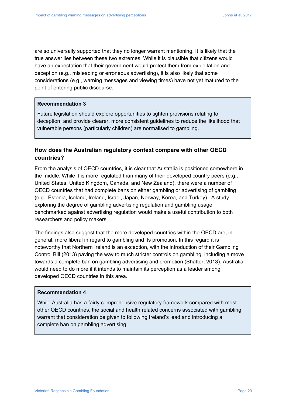are so universally supported that they no longer warrant mentioning. It is likely that the true answer lies between these two extremes. While it is plausible that citizens would have an expectation that their government would protect them from exploitation and deception (e.g., misleading or erroneous advertising), it is also likely that some considerations (e.g., warning messages and viewing times) have not yet matured to the point of entering public discourse.

#### **Recommendation 3**

Future legislation should explore opportunities to tighten provisions relating to deception, and provide clearer, more consistent guidelines to reduce the likelihood that vulnerable persons (particularly children) are normalised to gambling.

# **How does the Australian regulatory context compare with other OECD countries?**

From the analysis of OECD countries, it is clear that Australia is positioned somewhere in the middle. While it is more regulated than many of their developed country peers (e.g., United States, United Kingdom, Canada, and New Zealand), there were a number of OECD countries that had complete bans on either gambling or advertising of gambling (e.g., Estonia, Iceland, Ireland, Israel, Japan, Norway, Korea, and Turkey). A study exploring the degree of gambling advertising regulation and gambling usage benchmarked against advertising regulation would make a useful contribution to both researchers and policy makers.

The findings also suggest that the more developed countries within the OECD are, in general, more liberal in regard to gambling and its promotion. In this regard it is noteworthy that Northern Ireland is an exception, with the introduction of their Gambling Control Bill (2013) paving the way to much stricter controls on gambling, including a move towards a complete ban on gambling advertising and promotion (Shatter, 2013). Australia would need to do more if it intends to maintain its perception as a leader among developed OECD countries in this area.

### **Recommendation 4**

While Australia has a fairly comprehensive regulatory framework compared with most other OECD countries, the social and health related concerns associated with gambling warrant that consideration be given to following Ireland's lead and introducing a complete ban on gambling advertising.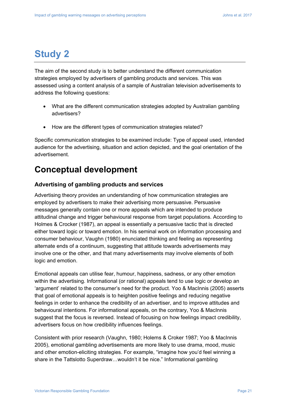# **Study 2**

The aim of the second study is to better understand the different communication strategies employed by advertisers of gambling products and services. This was assessed using a content analysis of a sample of Australian television advertisements to address the following questions:

- What are the different communication strategies adopted by Australian gambling advertisers?
- How are the different types of communication strategies related?

Specific communication strategies to be examined include: Type of appeal used, intended audience for the advertising, situation and action depicted, and the goal orientation of the advertisement.

# **Conceptual development**

## **Advertising of gambling products and services**

Advertising theory provides an understanding of how communication strategies are employed by advertisers to make their advertising more persuasive. Persuasive messages generally contain one or more appeals which are intended to produce attitudinal change and trigger behavioural response from target populations. According to Holmes & Crocker (1987), an appeal is essentially a persuasive tactic that is directed either toward logic or toward emotion. In his seminal work on information processing and consumer behaviour, Vaughn (1980) enunciated thinking and feeling as representing alternate ends of a continuum, suggesting that attitude towards advertisements may involve one or the other, and that many advertisements may involve elements of both logic and emotion.

Emotional appeals can utilise fear, humour, happiness, sadness, or any other emotion within the advertising. Informational (or rational) appeals tend to use logic or develop an 'argument' related to the consumer's need for the product. Yoo & MacInnis (2005) asserts that goal of emotional appeals is to heighten positive feelings and reducing negative feelings in order to enhance the credibility of an advertiser, and to improve attitudes and behavioural intentions. For informational appeals, on the contrary, Yoo & MacInnis suggest that the focus is reversed. Instead of focusing on how feelings impact credibility, advertisers focus on how credibility influences feelings.

Consistent with prior research (Vaughn, 1980; Holems & Croker 1987; Yoo & MacInnis 2005), emotional gambling advertisements are more likely to use drama, mood, music and other emotion-eliciting strategies. For example, "imagine how you'd feel winning a share in the Tattslotto Superdraw...wouldn't it be nice." Informational gambling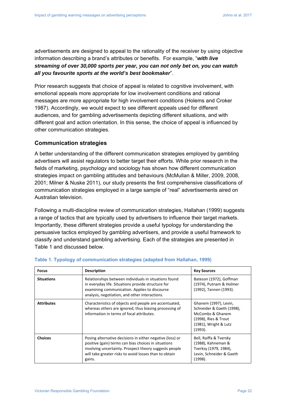advertisements are designed to appeal to the rationality of the receiver by using objective information describing a brand's attributes or benefits. For example, "*with live streaming of over 30,000 sports per year, you can not only bet on, you can watch all you favourite sports at the world's best bookmaker*".

Prior research suggests that choice of appeal is related to cognitive involvement, with emotional appeals more appropriate for low involvement conditions and rational messages are more appropriate for high involvement conditions (Holems and Croker 1987). Accordingly, we would expect to see different appeals used for different audiences, and for gambling advertisements depicting different situations, and with different goal and action orientation. In this sense, the choice of appeal is influenced by other communication strategies.

### **Communication strategies**

A better understanding of the different communication strategies employed by gambling advertisers will assist regulators to better target their efforts. While prior research in the fields of marketing, psychology and sociology has shown how different communication strategies impact on gambling attitudes and behaviours (McMullan & Miller, 2009, 2008, 2001; Milner & Nuske 2011), our study presents the first comprehensive classifications of communication strategies employed in a large sample of "real" advertisements aired on Australian television.

Following a multi-discipline review of communication strategies, Hallahan (1999) suggests a range of tactics that are typically used by advertisers to influence their target markets. Importantly, these different strategies provide a useful typology for understanding the persuasive tactics employed by gambling advertisers, and provide a useful framework to classify and understand gambling advertising. Each of the strategies are presented in Table 1 and discussed below.

| <b>Focus</b>      | <b>Description</b>                                                                                                                                                                                                                              | <b>Key Sources</b>                                                                                                                 |
|-------------------|-------------------------------------------------------------------------------------------------------------------------------------------------------------------------------------------------------------------------------------------------|------------------------------------------------------------------------------------------------------------------------------------|
| <b>Situations</b> | Relationships between individuals in situations found<br>in everyday life. Situations provide structure for<br>examining communication. Applies to discourse<br>analysis, negotiation, and other interactions.                                  | Bateson (1972), Goffman<br>(1974), Putnam & Holmer<br>(1992), Tannen (1993).                                                       |
| <b>Attributes</b> | Characteristics of objects and people are accentuated,<br>whereas others are ignored, thus biasing processing of<br>information in terms of focal attributes.                                                                                   | Ghanem (1997), Levin,<br>Schneider & Gaeth (1998),<br>McCombs & Ghanem<br>(1998), Ries & Trout<br>(1981), Wright & Lutz<br>(1993). |
| <b>Choices</b>    | Posing alternative decisions in either negative (loss) or<br>positive (gain) terms can bias choices in situations<br>involving uncertainty. Prospect theory suggests people<br>will take greater risks to avoid losses than to obtain<br>gains. | Bell, Raiffa & Tversky<br>(1988), Kahneman &<br>Tverksy (1979, 1984),<br>Levin, Schneider & Gaeth<br>(1998).                       |

#### **Table 1. Typology of communication strategies (adapted from Hallahan, 1999)**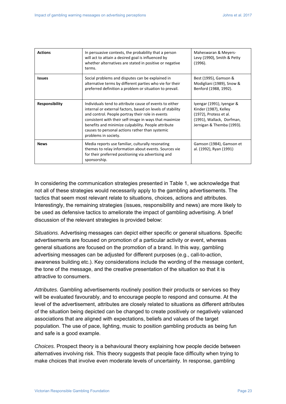| <b>Actions</b>        | In persuasive contexts, the probability that a person<br>will act to attain a desired goal is influenced by<br>whether alternatives are stated in positive or negative<br>terms.                                                                                                                                                                                      | Maheswaran & Meyers-<br>Levy (1990), Smith & Petty<br>(1996).                                                                          |
|-----------------------|-----------------------------------------------------------------------------------------------------------------------------------------------------------------------------------------------------------------------------------------------------------------------------------------------------------------------------------------------------------------------|----------------------------------------------------------------------------------------------------------------------------------------|
| <b>Issues</b>         | Social problems and disputes can be explained in<br>alternative terms by different parties who vie for their<br>preferred definition a problem or situation to prevail.                                                                                                                                                                                               | Best (1995), Gamson &<br>Modigliani (1989), Snow &<br>Benford (1988, 1992).                                                            |
| <b>Responsibility</b> | Individuals tend to attribute cause of events to either<br>internal or external factors, based on levels of stability<br>and control. People portray their role in events<br>consistent with their self-image in ways that maximize<br>benefits and minimize culpability. People attribute<br>causes to personal actions rather than systemic<br>problems in society. | Iyengar (1991), Iyengar &<br>Kinder (1987), Kelley<br>(1972), Protess et al.<br>(1991), Wallack, Dorfman,<br>Jernigan & Themba (1993). |
| <b>News</b>           | Media reports use familiar, culturally resonating<br>themes to relay information about events. Sources vie<br>for their preferred positioning via advertising and<br>sponsorship.                                                                                                                                                                                     | Gamson (1984), Gamson et<br>al. (1992), Ryan (1991)                                                                                    |

In considering the communication strategies presented in Table 1, we acknowledge that not all of these strategies would necessarily apply to the gambling advertisements. The tactics that seem most relevant relate to situations, choices, actions and attributes. Interestingly, the remaining strategies (issues, responsibility and news) are more likely to be used as defensive tactics to ameliorate the impact of gambling advertising. A brief discussion of the relevant strategies is provided below:

*Situations.* Advertising messages can depict either specific or general situations. Specific advertisements are focused on promotion of a particular activity or event, whereas general situations are focused on the promotion of a brand. In this way, gambling advertising messages can be adjusted for different purposes (e.g., call-to-action, awareness building etc.). Key considerations include the wording of the message content, the tone of the message, and the creative presentation of the situation so that it is attractive to consumers.

*Attributes.* Gambling advertisements routinely position their products or services so they will be evaluated favourably, and to encourage people to respond and consume. At the level of the advertisement, attributes are closely related to situations as different attributes of the situation being depicted can be changed to create positively or negatively valanced associations that are aligned with expectations, beliefs and values of the target population. The use of pace, lighting, music to position gambling products as being fun and safe is a good example.

*Choices.* Prospect theory is a behavioural theory explaining how people decide between alternatives involving risk. This theory suggests that people face difficulty when trying to make choices that involve even moderate levels of uncertainty. In response, gambling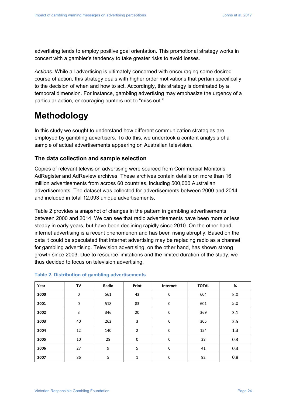advertising tends to employ positive goal orientation. This promotional strategy works in concert with a gambler's tendency to take greater risks to avoid losses.

*Actions.* While all advertising is ultimately concerned with encouraging some desired course of action, this strategy deals with higher order motivations that pertain specifically to the decision of when and how to act. Accordingly, this strategy is dominated by a temporal dimension. For instance, gambling advertising may emphasize the urgency of a particular action, encouraging punters not to "miss out."

# **Methodology**

In this study we sought to understand how different communication strategies are employed by gambling advertisers. To do this, we undertook a content analysis of a sample of actual advertisements appearing on Australian television.

### **The data collection and sample selection**

Copies of relevant television advertising were sourced from Commercial Monitor's AdRegister and AdReview archives. These archives contain details on more than 16 million advertisements from across 60 countries, including 500,000 Australian advertisements. The dataset was collected for advertisements between 2000 and 2014 and included in total 12,093 unique advertisements.

Table 2 provides a snapshot of changes in the pattern in gambling advertisements between 2000 and 2014. We can see that radio advertisements have been more or less steady in early years, but have been declining rapidly since 2010. On the other hand, internet advertising is a recent phenomenon and has been rising abruptly. Based on the data it could be speculated that internet advertising may be replacing radio as a channel for gambling advertising. Television advertising, on the other hand, has shown strong growth since 2003. Due to resource limitations and the limited duration of the study, we thus decided to focus on television advertising.

| Year | TV          | Radio | Print          | Internet    | <b>TOTAL</b> | %   |
|------|-------------|-------|----------------|-------------|--------------|-----|
| 2000 | 0           | 561   | 43             | 0           | 604          | 5.0 |
| 2001 | $\mathbf 0$ | 518   | 83             | $\mathbf 0$ | 601          | 5.0 |
| 2002 | 3           | 346   | 20             | $\mathbf 0$ | 369          | 3.1 |
| 2003 | 40          | 262   | 3              | $\mathbf 0$ | 305          | 2.5 |
| 2004 | 12          | 140   | $\overline{2}$ | $\mathbf 0$ | 154          | 1.3 |
| 2005 | 10          | 28    | $\mathbf 0$    | 0           | 38           | 0.3 |
| 2006 | 27          | 9     | 5              | $\mathbf 0$ | 41           | 0.3 |
| 2007 | 86          | 5     | 1              | 0           | 92           | 0.8 |

#### **Table 2. Distribution of gambling advertisements**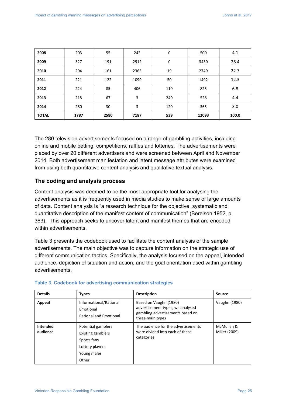| 2008         | 203  | 55   | 242  | $\mathbf 0$ | 500   | 4.1   |
|--------------|------|------|------|-------------|-------|-------|
| 2009         | 327  | 191  | 2912 | 0           | 3430  | 28.4  |
| 2010         | 204  | 161  | 2365 | 19          | 2749  | 22.7  |
| 2011         | 221  | 122  | 1099 | 50          | 1492  | 12.3  |
| 2012         | 224  | 85   | 406  | 110         | 825   | 6.8   |
| 2013         | 218  | 67   | 3    | 240         | 528   | 4.4   |
| 2014         | 280  | 30   | 3    | 120         | 365   | 3.0   |
| <b>TOTAL</b> | 1787 | 2580 | 7187 | 539         | 12093 | 100.0 |

The 280 television advertisements focused on a range of gambling activities, including online and mobile betting, competitions, raffles and lotteries. The advertisements were placed by over 20 different advertisers and were screened between April and November 2014. Both advertisement manifestation and latent message attributes were examined from using both quantitative content analysis and qualitative textual analysis.

### **The coding and analysis process**

Content analysis was deemed to be the most appropriate tool for analysing the advertisements as it is frequently used in media studies to make sense of large amounts of data. Content analysis is "a research technique for the objective, systematic and quantitative description of the manifest content of communication" (Berelson 1952, p. 363). This approach seeks to uncover latent and manifest themes that are encoded within advertisements.

Table 3 presents the codebook used to facilitate the content analysis of the sample advertisements. The main objective was to capture information on the strategic use of different communication tactics. Specifically, the analysis focused on the appeal, intended audience, depiction of situation and action, and the goal orientation used within gambling advertisements.

| <b>Details</b>       | <b>Types</b>                                                                                             | <b>Description</b>                                                                                                 | Source                      |
|----------------------|----------------------------------------------------------------------------------------------------------|--------------------------------------------------------------------------------------------------------------------|-----------------------------|
| Appeal               | Informational/Rational<br>Emotional<br><b>Rational and Emotional</b>                                     | Based on Vaughn (1980)<br>advertisement types, we analysed<br>gambling advertisements based on<br>three main types | Vaughn (1980)               |
| Intended<br>audience | Potential gamblers<br><b>Existing gamblers</b><br>Sports fans<br>Lottery players<br>Young males<br>Other | The audience for the advertisements<br>were divided into each of these<br>categories                               | McMullan &<br>Miller (2009) |

#### **Table 3. Codebook for advertising communication strategies**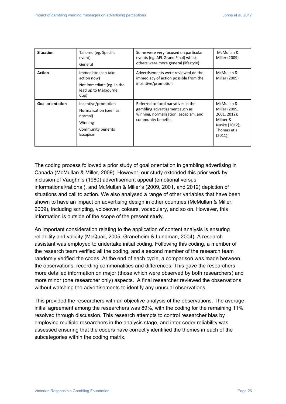| <b>Situation</b>        | Tailored (eg. Specific<br>event)<br>General                                                           | Some were very focused on particular<br>events (eg. AFL Grand Final) whilst<br>others were more general (lifestyle)                   | McMullan &<br>Miller (2009)                                                                          |
|-------------------------|-------------------------------------------------------------------------------------------------------|---------------------------------------------------------------------------------------------------------------------------------------|------------------------------------------------------------------------------------------------------|
| <b>Action</b>           | Immediate (can take<br>action now)<br>Not immediate (eg. In the<br>lead up to Melbourne<br>Cup)       | Advertisements were reviewed on the<br>immediacy of action possible from the<br>incentive/promotion                                   | McMullan &<br>Miller (2009)                                                                          |
| <b>Goal orientation</b> | Incentive/promotion<br>Normalisation (seen as<br>normal)<br>Winning<br>Community benefits<br>Escapism | Referred to focal narratives in the<br>gambling advertisement such as<br>winning, normalization, escapism, and<br>community benefits. | McMullan &<br>Miller (2009,<br>2001, 2012);<br>Milner &<br>Nuske (2012);<br>Thomas et al.<br>(2011); |

The coding process followed a prior study of goal orientation in gambling advertising in Canada (McMullan & Miller, 2009). However, our study extended this prior work by inclusion of Vaughn's (1980) advertisement appeal (emotional versus informational/rational), and McMullan & Miller's (2009, 2001, and 2012) depiction of situations and call to action. We also analysed a range of other variables that have been shown to have an impact on advertising design in other countries (McMullan & Miller, 2009), including scripting, voiceover, colours, vocabulary, and so on. However, this information is outside of the scope of the present study.

An important consideration relating to the application of content analysis is ensuring reliability and validity (McQuail, 2005; Graneheim & Lundman, 2004). A research assistant was employed to undertake initial coding. Following this coding, a member of the research team verified all the coding, and a second member of the research team randomly verified the codes. At the end of each cycle, a comparison was made between the observations, recording commonalities and differences. This gave the researchers more detailed information on major (those which were observed by both researchers) and more minor (one researcher only) aspects. A final researcher reviewed the observations without watching the advertisements to identify any unusual observations.

This provided the researchers with an objective analysis of the observations. The average initial agreement among the researchers was 89%, with the coding for the remaining 11% resolved through discussion. This research attempts to control researcher bias by employing multiple researchers in the analysis stage, and inter-coder reliability was assessed ensuring that the coders have correctly identified the themes in each of the subcategories within the coding matrix.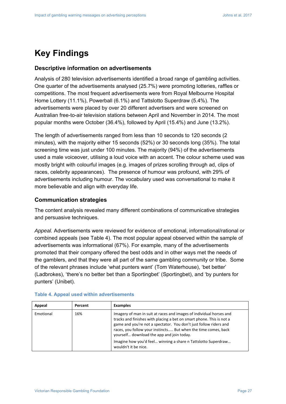# **Key Findings**

### **Descriptive information on advertisements**

Analysis of 280 television advertisements identified a broad range of gambling activities. One quarter of the advertisements analysed (25.7%) were promoting lotteries, raffles or competitions. The most frequent advertisements were from Royal Melbourne Hospital Home Lottery (11.1%), Powerball (6.1%) and Tattslotto Superdraw (5.4%). The advertisements were placed by over 20 different advertisers and were screened on Australian free-to-air television stations between April and November in 2014. The most popular months were October (36.4%), followed by April (15.4%) and June (13.2%).

The length of advertisements ranged from less than 10 seconds to 120 seconds (2 minutes), with the majority either 15 seconds (52%) or 30 seconds long (35%). The total screening time was just under 100 minutes. The majority (94%) of the advertisements used a male voiceover, utilising a loud voice with an accent. The colour scheme used was mostly bright with colourful images (e.g. images of prizes scrolling through ad, clips of races, celebrity appearances). The presence of humour was profound, with 29% of advertisements including humour. The vocabulary used was conversational to make it more believable and align with everyday life.

### **Communication strategies**

The content analysis revealed many different combinations of communicative strategies and persuasive techniques.

*Appeal.* Advertisements were reviewed for evidence of emotional, informational/rational or combined appeals (see Table 4). The most popular appeal observed within the sample of advertisements was informational (67%). For example, many of the advertisements promoted that their company offered the best odds and in other ways met the needs of the gamblers, and that they were all part of the same gambling community or tribe. Some of the relevant phrases include 'what punters want' (Tom Waterhouse), 'bet better' (Ladbrokes), 'there's no better bet than a Sportingbet' (Sportingbet), and 'by punters for punters' (Unibet).

| Appeal    | Percent | <b>Examples</b>                                                                                                                                                                                                                                                                                                                                                                                                          |
|-----------|---------|--------------------------------------------------------------------------------------------------------------------------------------------------------------------------------------------------------------------------------------------------------------------------------------------------------------------------------------------------------------------------------------------------------------------------|
| Emotional | 16%     | Imagery of man in suit at races and images of individual horses and<br>tracks and finishes with placing a bet on smart phone. This is not a<br>game and you're not a spectator. You don't just follow riders and<br>races, you follow your instincts But when the time comes, back<br>yourself download the app and join today.<br>Imagine how you'd feel winning a share n Tattslotto Superdraw<br>wouldn't it be nice. |

#### **Table 4. Appeal used within advertisements**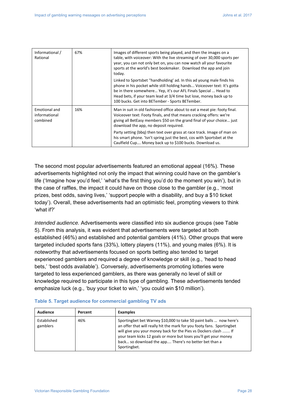| Informational /<br>Rational                | 67% | Images of different sports being played, and then the images on a<br>table, with voiceover: With the live streaming of over 30,000 sports per<br>year, you can not only bet on, you can now watch all your favourite<br>sports at the world's best bookmaker. Download the app and join<br>today.                                              |
|--------------------------------------------|-----|------------------------------------------------------------------------------------------------------------------------------------------------------------------------------------------------------------------------------------------------------------------------------------------------------------------------------------------------|
|                                            |     | Linked to Sportsbet "handholding' ad. In this ad young male finds his<br>phone in his pocket while still holding hands Voiceover text: It's gotta<br>be in there somewhere Yep, it's our AFL Finals Special  Head to<br>Head bets, if your team lead at 3/4 time but lose, money back up to<br>100 bucks. Get into BETember - Sports BETember. |
| Emotional and<br>informational<br>combined | 16% | Man in suit in old fashioned office about to eat a meat pie: footy final.<br>Voiceover text: Footy finals, and that means cracking offers: we're<br>giving all BetEasy members \$50 on the grand final of your choice just<br>download the app, no deposit required.                                                                           |
|                                            |     | Party setting (bbq) then text over grass at race track. Image of man on<br>his smart phone. 'Isn't spring just the best, cos with Sportsbet at the<br>Caulfield Cup Money back up to \$100 bucks. Download us.                                                                                                                                 |

The second most popular advertisements featured an emotional appeal (16%). These advertisements highlighted not only the impact that winning could have on the gambler's life ('Imagine how you'd feel,' 'what's the first thing you'd do the moment you win'), but in the case of raffles, the impact it could have on those close to the gambler (e.g., 'most prizes, best odds, saving lives,' 'support people with a disability, and buy a \$10 ticket today'). Overall, these advertisements had an optimistic feel, prompting viewers to think 'what if?'

*Intended audience.* Advertisements were classified into six audience groups (see Table 5). From this analysis, it was evident that advertisements were targeted at both established (46%) and established and potential gamblers (41%). Other groups that were targeted included sports fans (33%), lottery players (11%), and young males (6%). It is noteworthy that advertisements focused on sports betting also tended to target experienced gamblers and required a degree of knowledge or skill (e.g., 'head to head bets,' 'best odds available'). Conversely, advertisements promoting lotteries were targeted to less experienced gamblers, as there was generally no level of skill or knowledge required to participate in this type of gambling. These advertisements tended emphasize luck (e.g., 'buy your ticket to win,' 'you could win \$10 million').

| Audience                | Percent | <b>Examples</b>                                                                                                                                                                                                                                                                                                                                              |
|-------------------------|---------|--------------------------------------------------------------------------------------------------------------------------------------------------------------------------------------------------------------------------------------------------------------------------------------------------------------------------------------------------------------|
| Established<br>gamblers | 46%     | Sportingbet bet Warney \$10,000 to take 50 paint balls  now here's<br>an offer that will really hit the mark for you footy fans. Sportingbet<br>will give you your money back for the Pies vs Dockers clash  If<br>your team kicks 12 goals or more but loses you'll get your money<br>back so download the app There's no better bet than a<br>Sportingbet. |

#### **Table 5. Target audience for commercial gambling TV ads**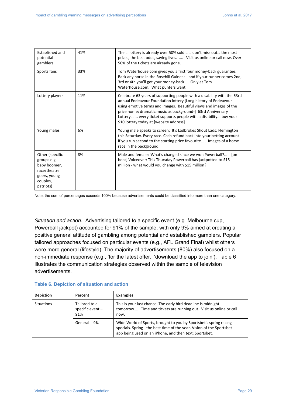| Established and<br>potential<br>gamblers                                                                | 41% | The  lottery is already over 50% sold  don't miss out the most<br>prizes, the best odds, saving lives.  Visit us online or call now. Over<br>50% of the tickets are already gone.                                                                                                                                                                                                            |
|---------------------------------------------------------------------------------------------------------|-----|----------------------------------------------------------------------------------------------------------------------------------------------------------------------------------------------------------------------------------------------------------------------------------------------------------------------------------------------------------------------------------------------|
| Sports fans                                                                                             | 33% | Tom Waterhouse.com gives you a first four money-back guarantee.<br>Back any horse in the Rosehill Guineas - and if your runner comes 2nd,<br>3rd or 4th you'll get your money-back  Only at Tom<br>Waterhouse.com. What punters want.                                                                                                                                                        |
| Lottery players                                                                                         | 11% | Celebrate 63 years of supporting people with a disability with the 63rd<br>annual Endeavour Foundation lottery [Long history of Endeavour<br>using emotive terms and images. Beautiful views and images of the<br>prize home; dramatic music as background-] 63rd Anniversary<br>Lottery  every ticket supports people with a disability buy your<br>\$10 lottery today at [website address] |
| Young males                                                                                             | 6%  | Young male speaks to screen: It's Ladbrokes Shout Lads: Flemington<br>this Saturday. Every race. Cash refund back into your betting account<br>if you run second to the starting price favourite Images of a horse<br>race in the background.                                                                                                                                                |
| Other (specific<br>groups e.g.<br>baby boomer,<br>race/theatre<br>goers, young<br>couples,<br>patriots) | 8%  | Male and female: 'What's changed since we won Powerball? ' [on<br>boat] Voiceover: This Thursday Powerball has jackpotted to \$15<br>million - what would you change with \$15 million?                                                                                                                                                                                                      |

Note: the sum of percentages exceeds 100% because advertisements could be classified into more than one category.

*Situation and action.*Advertising tailored to a specific event (e.g. Melbourne cup, Powerball jackpot) accounted for 91% of the sample, with only 9% aimed at creating a positive general attitude of gambling among potential and established gamblers. Popular tailored approaches focused on particular events (e.g., AFL Grand Final) whilst others were more general (lifestyle). The majority of advertisements (80%) also focused on a non-immediate response (e.g., 'for the latest offer,' 'download the app to join'). Table 6 illustrates the communication strategies observed within the sample of television advertisements.

| <b>Depiction</b>  | Percent                                    | <b>Examples</b>                                                                                                                                                                                      |
|-------------------|--------------------------------------------|------------------------------------------------------------------------------------------------------------------------------------------------------------------------------------------------------|
| <b>Situations</b> | Tailored to a<br>specific event $-$<br>91% | This is your last chance. The early bird deadline is midnight<br>tomorrow Time and tickets are running out. Visit us online or call<br>now.                                                          |
|                   | General - 9%                               | Wide World of Sports, brought to you by Sportsbet's spring racing<br>specials. Spring - the best time of the year. Vision of the Sportsbet<br>app being used on an iPhone, and then text: Sportsbet. |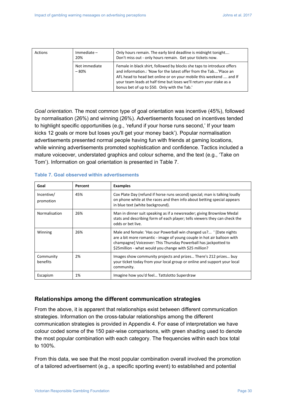| Actions | $Immediate -$<br>20%   | Only hours remain. The early bird deadline is midnight tonight<br>Don't miss out - only hours remain. Get your tickets now.                                                                                                                                                                                                              |
|---------|------------------------|------------------------------------------------------------------------------------------------------------------------------------------------------------------------------------------------------------------------------------------------------------------------------------------------------------------------------------------|
|         | Not immediate<br>- 80% | Female in black shirt, followed by blocks she taps to introduce offers<br>and information.: 'Now for the latest offer from the Tab'Place an<br>AFL head to head bet online or on your mobile this weekend  and If<br>your team leads at half time but loses we'll return your stake as a<br>bonus bet of up to \$50. Only with the Tab.' |

*Goal orientation.* The most common type of goal orientation was incentive (45%), followed by normalisation (26%) and winning (26%). Advertisements focused on incentives tended to highlight specific opportunities (e.g., 'refund if your horse runs second,' If your team kicks 12 goals or more but loses you'll get your money back'). Popular normalisation advertisements presented normal people having fun with friends at gaming locations, while winning advertisements promoted sophistication and confidence. Tactics included a mature voiceover, understated graphics and colour scheme, and the text (e.g., 'Take on Tom'). Information on goal orientation is presented in Table 7.

| Goal                    | Percent | <b>Examples</b>                                                                                                                                                                                                                                                             |  |
|-------------------------|---------|-----------------------------------------------------------------------------------------------------------------------------------------------------------------------------------------------------------------------------------------------------------------------------|--|
| Incentive/<br>promotion | 45%     | Cox Plate Day (refund if horse runs second) special; man is talking loudly<br>on phone while at the races and then info about betting special appears<br>in blue text (white background).                                                                                   |  |
| Normalisation           | 26%     | Man in dinner suit speaking as if a newsreader; giving Brownlow Medal<br>stats and describing form of each player; tells viewers they can check the<br>odds or bet live.                                                                                                    |  |
| Winning                 | 26%     | Male and female: 'Has our Powerball win changed us? ' [Date nights<br>are a bit more romantic - image of young couple in hot air balloon with<br>champagne] Voiceover: This Thursday Powerball has jackpotted to<br>\$25 million - what would you change with \$25 million? |  |
| Community<br>benefits   | 2%      | Images show community projects and prizes There's 212 prizes buy<br>your ticket today from your local group or online and support your local<br>community.                                                                                                                  |  |
| Escapism                | 1%      | Imagine how you'd feel Tattslotto Superdraw                                                                                                                                                                                                                                 |  |

#### **Table 7. Goal observed within advertisements**

### **Relationships among the different communication strategies**

From the above, it is apparent that relationships exist between different communication strategies. Information on the cross-tabular relationships among the different communication strategies is provided in Appendix 4. For ease of interpretation we have colour coded some of the 150 pair-wise comparisons, with green shading used to denote the most popular combination with each category. The frequencies within each box total to 100%.

From this data, we see that the most popular combination overall involved the promotion of a tailored advertisement (e.g., a specific sporting event) to established and potential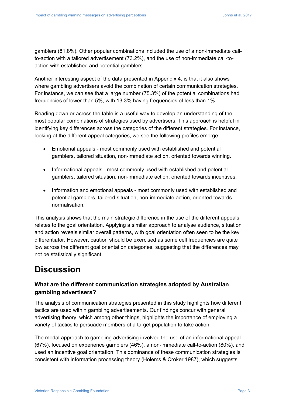gamblers (81.8%). Other popular combinations included the use of a non-immediate callto-action with a tailored advertisement (73.2%), and the use of non-immediate call-toaction with established and potential gamblers.

Another interesting aspect of the data presented in Appendix 4, is that it also shows where gambling advertisers avoid the combination of certain communication strategies. For instance, we can see that a large number (75.3%) of the potential combinations had frequencies of lower than 5%, with 13.3% having frequencies of less than 1%.

Reading down or across the table is a useful way to develop an understanding of the most popular combinations of strategies used by advertisers. This approach is helpful in identifying key differences across the categories of the different strategies. For instance, looking at the different appeal categories, we see the following profiles emerge:

- Emotional appeals most commonly used with established and potential gamblers, tailored situation, non-immediate action, oriented towards winning.
- Informational appeals most commonly used with established and potential gamblers, tailored situation, non-immediate action, oriented towards incentives.
- Information and emotional appeals most commonly used with established and potential gamblers, tailored situation, non-immediate action, oriented towards normalisation.

This analysis shows that the main strategic difference in the use of the different appeals relates to the goal orientation. Applying a similar approach to analyse audience, situation and action reveals similar overall patterns, with goal orientation often seen to be the key differentiator. However, caution should be exercised as some cell frequencies are quite low across the different goal orientation categories, suggesting that the differences may not be statistically significant.

# **Discussion**

# **What are the different communication strategies adopted by Australian gambling advertisers?**

The analysis of communication strategies presented in this study highlights how different tactics are used within gambling advertisements. Our findings concur with general advertising theory, which among other things, highlights the importance of employing a variety of tactics to persuade members of a target population to take action.

The modal approach to gambling advertising involved the use of an informational appeal (67%), focused on experience gamblers (46%), a non-immediate call-to-action (80%), and used an incentive goal orientation. This dominance of these communication strategies is consistent with information processing theory (Holems & Croker 1987), which suggests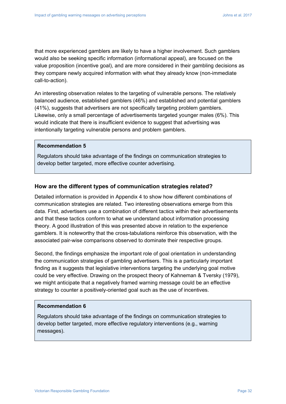that more experienced gamblers are likely to have a higher involvement. Such gamblers would also be seeking specific information (informational appeal), are focused on the value proposition (incentive goal), and are more considered in their gambling decisions as they compare newly acquired information with what they already know (non-immediate call-to-action).

An interesting observation relates to the targeting of vulnerable persons. The relatively balanced audience, established gamblers (46%) and established and potential gamblers (41%), suggests that advertisers are not specifically targeting problem gamblers. Likewise, only a small percentage of advertisements targeted younger males (6%). This would indicate that there is insufficient evidence to suggest that advertising was intentionally targeting vulnerable persons and problem gamblers.

### **Recommendation 5**

Regulators should take advantage of the findings on communication strategies to develop better targeted, more effective counter advertising.

### **How are the different types of communication strategies related?**

Detailed information is provided in Appendix 4 to show how different combinations of communication strategies are related. Two interesting observations emerge from this data. First, advertisers use a combination of different tactics within their advertisements and that these tactics conform to what we understand about information processing theory. A good illustration of this was presented above in relation to the experience gamblers. It is noteworthy that the cross-tabulations reinforce this observation, with the associated pair-wise comparisons observed to dominate their respective groups.

Second, the findings emphasize the important role of goal orientation in understanding the communication strategies of gambling advertisers. This is a particularly important finding as it suggests that legislative interventions targeting the underlying goal motive could be very effective. Drawing on the prospect theory of Kahneman & Tversky (1979), we might anticipate that a negatively framed warning message could be an effective strategy to counter a positively-oriented goal such as the use of incentives.

#### **Recommendation 6**

Regulators should take advantage of the findings on communication strategies to develop better targeted, more effective regulatory interventions (e.g., warning messages).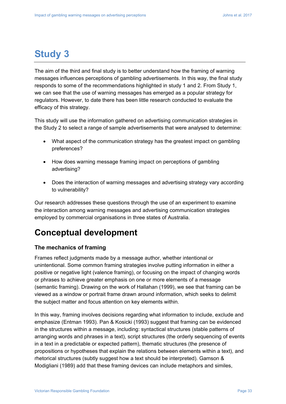# **Study 3**

The aim of the third and final study is to better understand how the framing of warning messages influences perceptions of gambling advertisements. In this way, the final study responds to some of the recommendations highlighted in study 1 and 2. From Study 1, we can see that the use of warning messages has emerged as a popular strategy for regulators. However, to date there has been little research conducted to evaluate the efficacy of this strategy.

This study will use the information gathered on advertising communication strategies in the Study 2 to select a range of sample advertisements that were analysed to determine:

- What aspect of the communication strategy has the greatest impact on gambling preferences?
- How does warning message framing impact on perceptions of gambling advertising?
- Does the interaction of warning messages and advertising strategy vary according to vulnerability?

Our research addresses these questions through the use of an experiment to examine the interaction among warning messages and advertising communication strategies employed by commercial organisations in three states of Australia.

# **Conceptual development**

## **The mechanics of framing**

Frames reflect judgments made by a message author, whether intentional or unintentional. Some common framing strategies involve putting information in either a positive or negative light (valence framing), or focusing on the impact of changing words or phrases to achieve greater emphasis on one or more elements of a message (semantic framing). Drawing on the work of Hallahan (1999), we see that framing can be viewed as a window or portrait frame drawn around information, which seeks to delimit the subject matter and focus attention on key elements within.

In this way, framing involves decisions regarding what information to include, exclude and emphasize (Entman 1993). Pan & Kosicki (1993) suggest that framing can be evidenced in the structures within a message, including: syntactical structures (stable patterns of arranging words and phrases in a text), script structures (the orderly sequencing of events in a text in a predictable or expected pattern), thematic structures (the presence of propositions or hypotheses that explain the relations between elements within a text), and rhetorical structures (subtly suggest how a text should be interpreted). Gamson & Modigliani (1989) add that these framing devices can include metaphors and similes,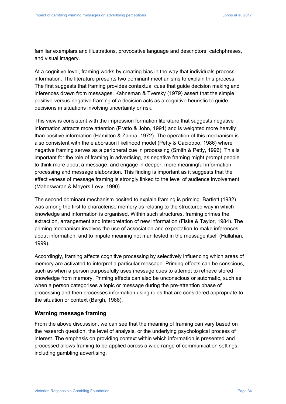familiar exemplars and illustrations, provocative language and descriptors, catchphrases, and visual imagery.

At a cognitive level, framing works by creating bias in the way that individuals process information. The literature presents two dominant mechanisms to explain this process. The first suggests that framing provides contextual cues that guide decision making and inferences drawn from messages. Kahneman & Tversky (1979) assert that the simple positive-versus-negative framing of a decision acts as a cognitive heuristic to guide decisions in situations involving uncertainty or risk.

This view is consistent with the impression formation literature that suggests negative information attracts more attention (Pratto & John, 1991) and is weighted more heavily than positive information (Hamilton & Zanna, 1972). The operation of this mechanism is also consistent with the elaboration likelihood model (Petty & Cacioppo, 1986) where negative framing serves as a peripheral cue in processing (Smith & Petty, 1996). This is important for the role of framing in advertising, as negative framing might prompt people to think more about a message, and engage in deeper, more meaningful information processing and message elaboration. This finding is important as it suggests that the effectiveness of message framing is strongly linked to the level of audience involvement (Maheswaran & Meyers-Levy, 1990).

The second dominant mechanism posited to explain framing is priming. Bartlett (1932) was among the first to characterise memory as relating to the structured way in which knowledge and information is organised. Within such structures, framing primes the extraction, arrangement and interpretation of new information (Fiske & Taylor, 1984). The priming mechanism involves the use of association and expectation to make inferences about information, and to impute meaning not manifested in the message itself (Hallahan, 1999).

Accordingly, framing affects cognitive processing by selectively influencing which areas of memory are activated to interpret a particular message. Priming effects can be conscious, such as when a person purposefully uses message cues to attempt to retrieve stored knowledge from memory. Priming effects can also be unconscious or automatic, such as when a person categorises a topic or message during the pre-attention phase of processing and then processes information using rules that are considered appropriate to the situation or context (Bargh, 1988).

### **Warning message framing**

From the above discussion, we can see that the meaning of framing can vary based on the research question, the level of analysis, or the underlying psychological process of interest. The emphasis on providing context within which information is presented and processed allows framing to be applied across a wide range of communication settings, including gambling advertising.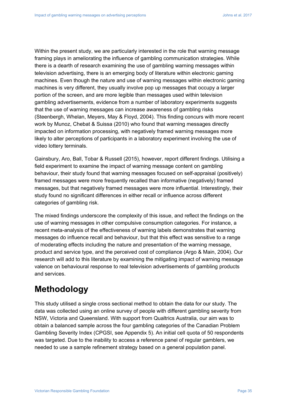Within the present study, we are particularly interested in the role that warning message framing plays in ameliorating the influence of gambling communication strategies. While there is a dearth of research examining the use of gambling warning messages within television advertising, there is an emerging body of literature within electronic gaming machines. Even though the nature and use of warning messages within electronic gaming machines is very different, they usually involve pop up messages that occupy a larger portion of the screen, and are more legible than messages used within television gambling advertisements, evidence from a number of laboratory experiments suggests that the use of warning messages can increase awareness of gambling risks (Steenbergh, Whelan, Meyers, May & Floyd, 2004). This finding concurs with more recent work by Munoz, Chebat & Suissa (2010) who found that warning messages directly impacted on information processing, with negatively framed warning messages more likely to alter perceptions of participants in a laboratory experiment involving the use of video lottery terminals.

Gainsbury, Aro, Ball, Tobar & Russell (2015), however, report different findings. Utilising a field experiment to examine the impact of warning message content on gambling behaviour, their study found that warning messages focused on self-appraisal (positively) framed messages were more frequently recalled than informative (negatively) framed messages, but that negatively framed messages were more influential. Interestingly, their study found no significant differences in either recall or influence across different categories of gambling risk.

The mixed findings underscore the complexity of this issue, and reflect the findings on the use of warning messages in other compulsive consumption categories. For instance, a recent meta-analysis of the effectiveness of warning labels demonstrates that warning messages do influence recall and behaviour, but that this effect was sensitive to a range of moderating effects including the nature and presentation of the warning message, product and service type, and the perceived cost of compliance (Argo & Main, 2004). Our research will add to this literature by examining the mitigating impact of warning message valence on behavioural response to real television advertisements of gambling products and services.

# **Methodology**

This study utilised a single cross sectional method to obtain the data for our study. The data was collected using an online survey of people with different gambling severity from NSW, Victoria and Queensland. With support from Qualtrics Australia, our aim was to obtain a balanced sample across the four gambling categories of the Canadian Problem Gambling Severity Index (CPGSI, see Appendix 5). An initial cell quota of 50 respondents was targeted. Due to the inability to access a reference panel of regular gamblers, we needed to use a sample refinement strategy based on a general population panel.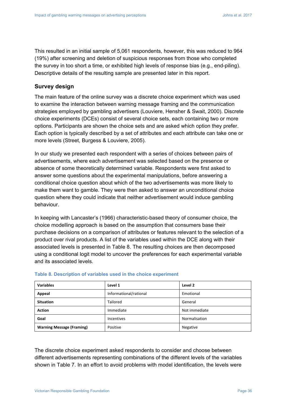This resulted in an initial sample of 5,061 respondents, however, this was reduced to 964 (19%) after screening and deletion of suspicious responses from those who completed the survey in too short a time, or exhibited high levels of response bias (e.g., end-piling). Descriptive details of the resulting sample are presented later in this report.

### **Survey design**

The main feature of the online survey was a discrete choice experiment which was used to examine the interaction between warning message framing and the communication strategies employed by gambling advertisers (Louviere, Hensher & Swait, 2000). Discrete choice experiments (DCEs) consist of several choice sets, each containing two or more options. Participants are shown the choice sets and are asked which option they prefer. Each option is typically described by a set of attributes and each attribute can take one or more levels (Street, Burgess & Louviere, 2005).

In our study we presented each respondent with a series of choices between pairs of advertisements, where each advertisement was selected based on the presence or absence of some theoretically determined variable. Respondents were first asked to answer some questions about the experimental manipulations, before answering a conditional choice question about which of the two advertisements was more likely to make them want to gamble. They were then asked to answer an unconditional choice question where they could indicate that neither advertisement would induce gambling behaviour.

In keeping with Lancaster's (1966) characteristic-based theory of consumer choice, the choice modelling approach is based on the assumption that consumers base their purchase decisions on a comparison of attributes or features relevant to the selection of a product over rival products. A list of the variables used within the DCE along with their associated levels is presented in Table 8. The resulting choices are then decomposed using a conditional logit model to uncover the preferences for each experimental variable and its associated levels.

| <b>Variables</b>                 | Level 1                | Level 2       |
|----------------------------------|------------------------|---------------|
| Appeal                           | Informational/rational | Emotional     |
| <b>Situation</b>                 | <b>Tailored</b>        | General       |
| <b>Action</b>                    | Immediate              | Not immediate |
| Goal                             | <b>Incentives</b>      | Normalisation |
| <b>Warning Message (Framing)</b> | Positive               | Negative      |

#### **Table 8. Description of variables used in the choice experiment**

The discrete choice experiment asked respondents to consider and choose between different advertisements representing combinations of the different levels of the variables shown in Table 7. In an effort to avoid problems with model identification, the levels were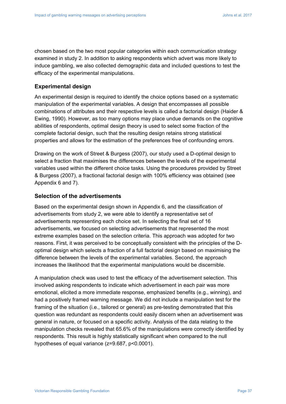chosen based on the two most popular categories within each communication strategy examined in study 2. In addition to asking respondents which advert was more likely to induce gambling, we also collected demographic data and included questions to test the efficacy of the experimental manipulations.

#### **Experimental design**

An experimental design is required to identify the choice options based on a systematic manipulation of the experimental variables. A design that encompasses all possible combinations of attributes and their respective levels is called a factorial design (Haider & Ewing, 1990). However, as too many options may place undue demands on the cognitive abilities of respondents, optimal design theory is used to select some fraction of the complete factorial design, such that the resulting design retains strong statistical properties and allows for the estimation of the preferences free of confounding errors.

Drawing on the work of Street & Burgess (2007), our study used a D-optimal design to select a fraction that maximises the differences between the levels of the experimental variables used within the different choice tasks. Using the procedures provided by Street & Burgess (2007), a fractional factorial design with 100% efficiency was obtained (see Appendix 6 and 7).

#### **Selection of the advertisements**

Based on the experimental design shown in Appendix 6, and the classification of advertisements from study 2, we were able to identify a representative set of advertisements representing each choice set. In selecting the final set of 16 advertisements, we focused on selecting advertisements that represented the most extreme examples based on the selection criteria. This approach was adopted for two reasons. First, it was perceived to be conceptually consistent with the principles of the Doptimal design which selects a fraction of a full factorial design based on maximising the difference between the levels of the experimental variables. Second, the approach increases the likelihood that the experimental manipulations would be discernible.

A manipulation check was used to test the efficacy of the advertisement selection. This involved asking respondents to indicate which advertisement in each pair was more emotional, elicited a more immediate response, emphasized benefits (e.g., winning), and had a positively framed warning message. We did not include a manipulation test for the framing of the situation (i.e., tailored or general) as pre-testing demonstrated that this question was redundant as respondents could easily discern when an advertisement was general in nature, or focused on a specific activity. Analysis of the data relating to the manipulation checks revealed that 65.6% of the manipulations were correctly identified by respondents. This result is highly statistically significant when compared to the null hypotheses of equal variance (z=9.687, p<0.0001).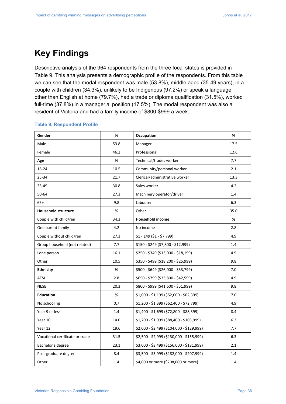## **Key Findings**

Descriptive analysis of the 964 respondents from the three focal states is provided in Table 9. This analysis presents a demographic profile of the respondents. From this table we can see that the modal respondent was male (53.8%), middle aged (35-49 years), in a couple with children (34.3%), unlikely to be Indigenous (97.2%) or speak a language other than English at home (79.7%), had a trade or diploma qualification (31.5%), worked full-time (37.8%) in a managerial position (17.5%). The modal respondent was also a resident of Victoria and had a family income of \$800-\$999 a week.

| Gender                          | %    | Occupation                                | %    |
|---------------------------------|------|-------------------------------------------|------|
| Male                            | 53.8 | Manager                                   | 17.5 |
| Female                          | 46.2 | Professional                              | 12.6 |
| Age                             | %    | Technical/trades worker                   | 7.7  |
| 18-24                           | 10.5 | Community/personal worker                 | 2.1  |
| 25-34                           | 21.7 | Clerical/administrative worker            | 13.3 |
| 35-49                           | 30.8 | Sales worker                              | 4.2  |
| 50-64                           | 27.3 | Machinery operator/driver                 | 1.4  |
| $65+$                           | 9.8  | Labourer                                  | 6.3  |
| <b>Household structure</b>      | %    | Other                                     | 35.0 |
| Couple with child/ren           | 34.3 | <b>Household income</b>                   | %    |
| One parent family               | 4.2  | No income                                 | 2.8  |
| Couple without child/ren        | 27.3 | $$1 - 149 ($1 - $7,799)$                  | 4.9  |
| Group household (not related)   | 7.7  | $$150 - $249 ($7,800 - $12,999)$          | 1.4  |
| Lone person                     | 16.1 | \$250 - \$349 (\$13,000 - \$18,199)       | 4.9  |
| Other                           | 10.5 | \$350 - \$499 (\$18,200 - \$25,999)       | 9.8  |
| <b>Ethnicity</b>                | %    | \$500 - \$649 (\$26,000 - \$33,799)       | 7.0  |
| <b>ATSI</b>                     | 2.8  | \$650 - \$799 (\$33,800 - \$42,599)       | 4.9  |
| <b>NESB</b>                     | 20.3 | \$800 - \$999 (\$41,600 - \$51,999)       | 9.8  |
| <b>Education</b>                | $\%$ | $$1,000 - $1,199$ (\$52,000 - \$62,399)   | 7.0  |
| No schooling                    | 0.7  | $$1,200 - $1,399$ (\$62,400 - \$72,799)   | 4.9  |
| Year 9 or less                  | 1.4  | \$1,400 - \$1,699 (\$72,800 - \$88,399)   | 8.4  |
| Year 10                         | 14.0 | \$1,700 - \$1,999 (\$88,400 - \$103,999)  | 6.3  |
| Year 12                         | 19.6 | \$2,000 - \$2,499 (\$104,000 - \$129,999) | 7.7  |
| Vocational certificate or trade | 31.5 | \$2,500 - \$2,999 (\$130,000 - \$155,999) | 6.3  |
| Bachelor's degree               | 23.1 | \$3,000 - \$3,499 (\$156,000 - \$181,999) | 2.1  |
| Post-graduate degree            | 8.4  | \$3,500 - \$3,999 (\$182,000 - \$207,999) | 1.4  |
| Other                           | 1.4  | \$4,000 or more (\$208,000 or more)       | 1.4  |

#### **Table 9. Respondent Profile**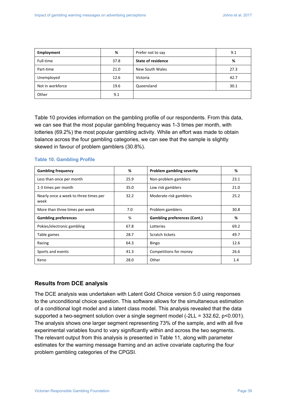| Employment       | %    | Prefer not to say         | 9.1  |
|------------------|------|---------------------------|------|
| Full-time        | 37.8 | <b>State of residence</b> | %    |
| Part-time        | 21.0 | New South Wales           | 27.3 |
| Unemployed       | 12.6 | Victoria                  | 42.7 |
| Not in workforce | 19.6 | Queensland                | 30.1 |
| Other            | 9.1  |                           |      |

Table 10 provides information on the gambling profile of our respondents. From this data, we can see that the most popular gambling frequency was 1-3 times per month, with lotteries (69.2%) the most popular gambling activity. While an effort was made to obtain balance across the four gambling categories, we can see that the sample is slightly skewed in favour of problem gamblers (30.8%).

#### **Table 10. Gambling Profile**

| <b>Gambling frequency</b>                     | %    | <b>Problem gambling severity</b>    | %    |
|-----------------------------------------------|------|-------------------------------------|------|
| Less than once per month                      | 25.9 | Non-problem gamblers                | 23.1 |
| 1-3 times per month                           | 35.0 | Low risk gamblers                   | 21.0 |
| Nearly once a week to three times per<br>week | 32.2 | Moderate risk gamblers              | 25.2 |
| More than three times per week                | 7.0  | Problem gamblers                    | 30.8 |
| <b>Gambling preferences</b>                   | %    | <b>Gambling preferences (Cont.)</b> | %    |
| Pokies/electronic gambling                    | 67.8 | Lotteries                           | 69.2 |
| Table games                                   | 28.7 | Scratch tickets                     | 49.7 |
| Racing                                        | 64.3 | <b>Bingo</b>                        | 12.6 |
| Sports and events                             | 41.3 | Competitions for money              | 26.6 |
| Keno                                          | 28.0 | Other                               | 1.4  |

#### **Results from DCE analysis**

The DCE analysis was undertaken with Latent Gold Choice version 5.0 using responses to the unconditional choice question. This software allows for the simultaneous estimation of a conditional logit model and a latent class model. This analysis revealed that the data supported a two-segment solution over a single segment model (-2LL = 332.62, p<0.001). The analysis shows one larger segment representing 73% of the sample, and with all five experimental variables found to vary significantly within and across the two segments. The relevant output from this analysis is presented in Table 11, along with parameter estimates for the warning message framing and an active covariate capturing the four problem gambling categories of the CPGSI.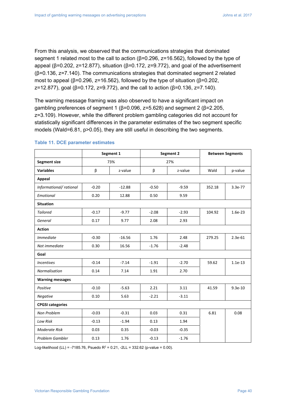From this analysis, we observed that the communications strategies that dominated segment 1 related most to the call to action ( $\beta$ =0.296, z=16.562), followed by the type of appeal ( $β=0.202$ ,  $z=12.877$ ), situation ( $β=0.172$ ,  $z=9.772$ ), and goal of the advertisement (β=0.136, z=7.140). The communications strategies that dominated segment 2 related most to appeal ( $β=0.296$ ,  $z=16.562$ ), followed by the type of situation ( $β=0.202$ , z=12.877), goal (β=0.172, z=9.772), and the call to action (β=0.136, z=7.140).

The warning message framing was also observed to have a significant impact on gambling preferences of segment 1 (β=0.096, z=5.628) and segment 2 (β=2.205, z=3.109). However, while the different problem gambling categories did not account for statistically significant differences in the parameter estimates of the two segment specific models (Wald=6.81, p>0.05), they are still useful in describing the two segments.

|                         |         | Segment 1 |         | Segment 2 |        | <b>Between Segments</b> |
|-------------------------|---------|-----------|---------|-----------|--------|-------------------------|
| <b>Segment size</b>     |         | 73%       |         | 27%       |        |                         |
| <b>Variables</b>        | β       | z-value   | β       | z-value   | Wald   | p-value                 |
| Appeal                  |         |           |         |           |        |                         |
| Informational/ rational | $-0.20$ | $-12.88$  | $-0.50$ | $-9.59$   | 352.18 | $3.3e-77$               |
| Emotional               | 0.20    | 12.88     | 0.50    | 9.59      |        |                         |
| <b>Situation</b>        |         |           |         |           |        |                         |
| <b>Tailored</b>         | $-0.17$ | $-9.77$   | $-2.08$ | $-2.93$   | 104.92 | $1.6e-23$               |
| General                 | 0.17    | 9.77      | 2.08    | 2.93      |        |                         |
| <b>Action</b>           |         |           |         |           |        |                         |
| <i>Immediate</i>        | $-0.30$ | $-16.56$  | 1.76    | 2.48      | 279.25 | $2.3e-61$               |
| Not immediate           | 0.30    | 16.56     | $-1.76$ | $-2.48$   |        |                         |
| Goal                    |         |           |         |           |        |                         |
| <b>Incentives</b>       | $-0.14$ | $-7.14$   | $-1.91$ | $-2.70$   | 59.62  | $1.1e-13$               |
| Normalisation           | 0.14    | 7.14      | 1.91    | 2.70      |        |                         |
| <b>Warning messages</b> |         |           |         |           |        |                         |
| Positive                | $-0.10$ | $-5.63$   | 2.21    | 3.11      | 41.59  | $9.3e-10$               |
| Negative                | 0.10    | 5.63      | $-2.21$ | $-3.11$   |        |                         |
| <b>CPGSI categories</b> |         |           |         |           |        |                         |
| Non Problem             | $-0.03$ | $-0.31$   | 0.03    | 0.31      | 6.81   | 0.08                    |
| Low Risk                | $-0.13$ | $-1.94$   | 0.13    | 1.94      |        |                         |
| <b>Moderate Risk</b>    | 0.03    | 0.35      | $-0.03$ | $-0.35$   |        |                         |
| Problem Gambler         | 0.13    | 1.76      | $-0.13$ | $-1.76$   |        |                         |

#### **Table 11. DCE parameter estimates**

Log-likelihood (LL) = -7185.76, Psuedo  $R^2 = 0.21$ , -2LL = 332.62 (p-value = 0.00).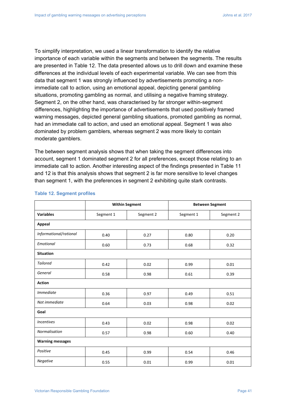To simplify interpretation, we used a linear transformation to identify the relative importance of each variable within the segments and between the segments. The results are presented in Table 12. The data presented allows us to drill down and examine these differences at the individual levels of each experimental variable. We can see from this data that segment 1 was strongly influenced by advertisements promoting a nonimmediate call to action, using an emotional appeal, depicting general gambling situations, promoting gambling as normal, and utilising a negative framing strategy. Segment 2, on the other hand, was characterised by far stronger within-segment differences, highlighting the importance of advertisements that used positively framed warning messages, depicted general gambling situations, promoted gambling as normal, had an immediate call to action, and used an emotional appeal. Segment 1 was also dominated by problem gamblers, whereas segment 2 was more likely to contain moderate gamblers.

The between segment analysis shows that when taking the segment differences into account, segment 1 dominated segment 2 for all preferences, except those relating to an immediate call to action. Another interesting aspect of the findings presented in Table 11 and 12 is that this analysis shows that segment 2 is far more sensitive to level changes than segment 1, with the preferences in segment 2 exhibiting quite stark contrasts.

|                         | <b>Within Segment</b> |           | <b>Between Segment</b> |           |
|-------------------------|-----------------------|-----------|------------------------|-----------|
| <b>Variables</b>        | Segment 1             | Segment 2 | Segment 1              | Segment 2 |
| Appeal                  |                       |           |                        |           |
| Informational/rational  | 0.40                  | 0.27      | 0.80                   | 0.20      |
| Emotional               | 0.60                  | 0.73      | 0.68                   | 0.32      |
| <b>Situation</b>        |                       |           |                        |           |
| <b>Tailored</b>         | 0.42                  | 0.02      | 0.99                   | 0.01      |
| General                 | 0.58                  | 0.98      | 0.61                   | 0.39      |
| <b>Action</b>           |                       |           |                        |           |
| <i>Immediate</i>        | 0.36                  | 0.97      | 0.49                   | 0.51      |
| Not immediate           | 0.64                  | 0.03      | 0.98                   | 0.02      |
| Goal                    |                       |           |                        |           |
| <b>Incentives</b>       | 0.43                  | 0.02      | 0.98                   | 0.02      |
| Normalisation           | 0.57                  | 0.98      | 0.60                   | 0.40      |
| <b>Warning messages</b> |                       |           |                        |           |
| Positive                | 0.45                  | 0.99      | 0.54                   | 0.46      |
| Negative                | 0.55                  | 0.01      | 0.99                   | 0.01      |

#### **Table 12. Segment profiles**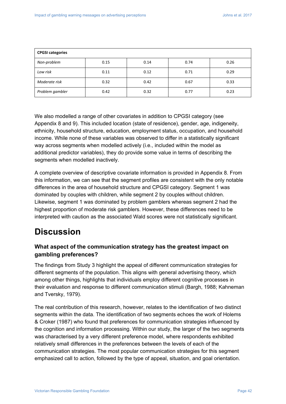| <b>CPGSI categories</b> |      |      |      |      |
|-------------------------|------|------|------|------|
| Non-problem             | 0.15 | 0.14 | 0.74 | 0.26 |
| Low risk                | 0.11 | 0.12 | 0.71 | 0.29 |
| Moderate risk           | 0.32 | 0.42 | 0.67 | 0.33 |
| Problem gambler         | 0.42 | 0.32 | 0.77 | 0.23 |

We also modelled a range of other covariates in addition to CPGSI category (see Appendix 8 and 9). This included location (state of residence), gender, age, indigeneity, ethnicity, household structure, education, employment status, occupation, and household income. While none of these variables was observed to differ in a statistically significant way across segments when modelled actively (i.e., included within the model as additional predictor variables), they do provide some value in terms of describing the segments when modelled inactively.

A complete overview of descriptive covariate information is provided in Appendix 8. From this information, we can see that the segment profiles are consistent with the only notable differences in the area of household structure and CPGSI category. Segment 1 was dominated by couples with children, while segment 2 by couples without children. Likewise, segment 1 was dominated by problem gamblers whereas segment 2 had the highest proportion of moderate risk gamblers. However, these differences need to be interpreted with caution as the associated Wald scores were not statistically significant.

## **Discussion**

## **What aspect of the communication strategy has the greatest impact on gambling preferences?**

The findings from Study 3 highlight the appeal of different communication strategies for different segments of the population. This aligns with general advertising theory, which among other things, highlights that individuals employ different cognitive processes in their evaluation and response to different communication stimuli (Bargh, 1988; Kahneman and Tversky, 1979).

The real contribution of this research, however, relates to the identification of two distinct segments within the data. The identification of two segments echoes the work of Holems & Croker (1987) who found that preferences for communication strategies influenced by the cognition and information processing. Within our study, the larger of the two segments was characterised by a very different preference model, where respondents exhibited relatively small differences in the preferences between the levels of each of the communication strategies. The most popular communication strategies for this segment emphasized call to action, followed by the type of appeal, situation, and goal orientation.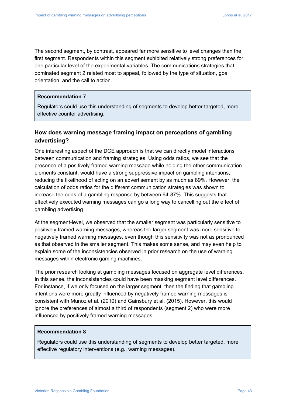The second segment, by contrast, appeared far more sensitive to level changes than the first segment. Respondents within this segment exhibited relatively strong preferences for one particular level of the experimental variables. The communications strategies that dominated segment 2 related most to appeal, followed by the type of situation, goal orientation, and the call to action.

#### **Recommendation 7**

Regulators could use this understanding of segments to develop better targeted, more effective counter advertising.

### **How does warning message framing impact on perceptions of gambling advertising?**

One interesting aspect of the DCE approach is that we can directly model interactions between communication and framing strategies. Using odds ratios, we see that the presence of a positively framed warning message while holding the other communication elements constant, would have a strong suppressive impact on gambling intentions, reducing the likelihood of acting on an advertisement by as much as 89%. However, the calculation of odds ratios for the different communication strategies was shown to increase the odds of a gambling response by between 64-87%. This suggests that effectively executed warning messages can go a long way to cancelling out the effect of gambling advertising.

At the segment-level, we observed that the smaller segment was particularly sensitive to positively framed warning messages, whereas the larger segment was more sensitive to negatively framed warning messages, even though this sensitivity was not as pronounced as that observed in the smaller segment. This makes some sense, and may even help to explain some of the inconsistencies observed in prior research on the use of warning messages within electronic gaming machines.

The prior research looking at gambling messages focused on aggregate level differences. In this sense, the inconsistencies could have been masking segment level differences. For instance, if we only focused on the larger segment, then the finding that gambling intentions were more greatly influenced by negatively framed warning messages is consistent with Munoz et al. (2010) and Gainsbury et al. (2015). However, this would ignore the preferences of almost a third of respondents (segment 2) who were more influenced by positively framed warning messages.

#### **Recommendation 8**

Regulators could use this understanding of segments to develop better targeted, more effective regulatory interventions (e.g., warning messages).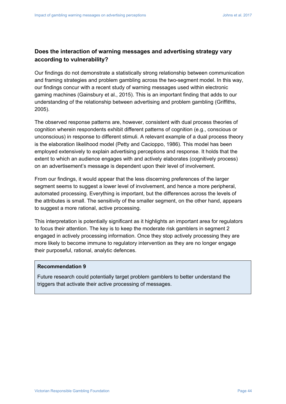## **Does the interaction of warning messages and advertising strategy vary according to vulnerability?**

Our findings do not demonstrate a statistically strong relationship between communication and framing strategies and problem gambling across the two-segment model. In this way, our findings concur with a recent study of warning messages used within electronic gaming machines (Gainsbury et al., 2015). This is an important finding that adds to our understanding of the relationship between advertising and problem gambling (Griffiths, 2005).

The observed response patterns are, however, consistent with dual process theories of cognition wherein respondents exhibit different patterns of cognition (e.g., conscious or unconscious) in response to different stimuli. A relevant example of a dual process theory is the elaboration likelihood model (Petty and Cacioppo, 1986). This model has been employed extensively to explain advertising perceptions and response. It holds that the extent to which an audience engages with and actively elaborates (cognitively process) on an advertisement's message is dependent upon their level of involvement.

From our findings, it would appear that the less discerning preferences of the larger segment seems to suggest a lower level of involvement, and hence a more peripheral, automated processing. Everything is important, but the differences across the levels of the attributes is small. The sensitivity of the smaller segment, on the other hand, appears to suggest a more rational, active processing.

This interpretation is potentially significant as it highlights an important area for regulators to focus their attention. The key is to keep the moderate risk gamblers in segment 2 engaged in actively processing information. Once they stop actively processing they are more likely to become immune to regulatory intervention as they are no longer engage their purposeful, rational, analytic defences.

#### **Recommendation 9**

Future research could potentially target problem gamblers to better understand the triggers that activate their active processing of messages.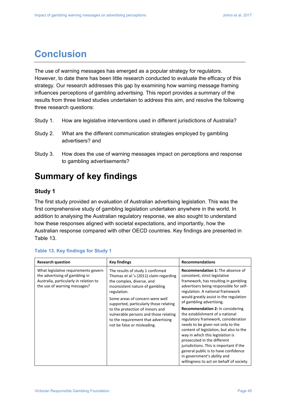## **Conclusion**

The use of warning messages has emerged as a popular strategy for regulators. However, to date there has been little research conducted to evaluate the efficacy of this strategy. Our research addresses this gap by examining how warning message framing influences perceptions of gambling advertising. This report provides a summary of the results from three linked studies undertaken to address this aim, and resolve the following three research questions:

- Study 1. How are legislative interventions used in different jurisdictions of Australia?
- Study 2. What are the different communication strategies employed by gambling advertisers? and
- Study 3. How does the use of warning messages impact on perceptions and response to gambling advertisements?

## **Summary of key findings**

#### **Study 1**

The first study provided an evaluation of Australian advertising legislation. This was the first comprehensive study of gambling legislation undertaken anywhere in the world. In addition to analysing the Australian regulatory response, we also sought to understand how these responses aligned with societal expectations, and importantly, how the Australian response compared with other OECD countries. Key findings are presented in Table 13.

| <b>Research question</b>                                                                                                                         | <b>Key findings</b>                                                                                                                                                                                                                                                                                                                                                                      | <b>Recommendations</b>                                                                                                                                                                                                                                                                                                                                                                                                                                                                                                                                                                                                                                                                                       |
|--------------------------------------------------------------------------------------------------------------------------------------------------|------------------------------------------------------------------------------------------------------------------------------------------------------------------------------------------------------------------------------------------------------------------------------------------------------------------------------------------------------------------------------------------|--------------------------------------------------------------------------------------------------------------------------------------------------------------------------------------------------------------------------------------------------------------------------------------------------------------------------------------------------------------------------------------------------------------------------------------------------------------------------------------------------------------------------------------------------------------------------------------------------------------------------------------------------------------------------------------------------------------|
| What legislative requirements govern<br>the advertising of gambling in<br>Australia, particularly in relation to<br>the use of warning messages? | The results of study 1 confirmed<br>Thomas et al.'s (2011) claim regarding<br>the complex, diverse, and<br>inconsistent nature of gambling<br>regulation.<br>Some areas of concern were well<br>supported, particularly those relating<br>to the protection of minors and<br>vulnerable persons and those relating<br>to the requirement that advertising<br>not be false or misleading. | <b>Recommendation 1:</b> The absence of<br>consistent, strict legislative<br>framework, has resulting in gambling<br>advertisers being responsible for self-<br>regulation. A national framework<br>would greatly assist in the regulation<br>of gambling advertising.<br><b>Recommendation 2:</b> In considering<br>the establishment of a national<br>regulatory framework, consideration<br>needs to be given not only to the<br>content of legislation, but also to the<br>way in which this legislation is<br>prosecuted in the different<br>jurisdictions. This is important if the<br>general public is to have confidence<br>in government's ability and<br>willingness to act on behalf of society. |

#### **Table 13. Key findings for Study 1**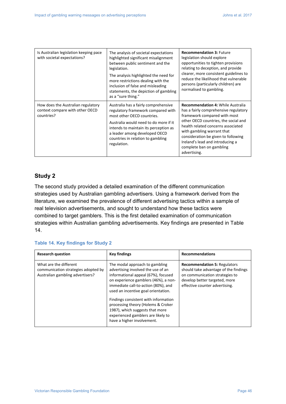| Is Australian legislation keeping pace<br>with societal expectations?               | The analysis of societal expectations<br>highlighted significant misalignment<br>between public sentiment and the<br>legislation.<br>The analysis highlighted the need for<br>more restrictions dealing with the<br>inclusion of false and misleading<br>statements, the depiction of gambling<br>as a "sure thing." | <b>Recommendation 3: Future</b><br>legislation should explore<br>opportunities to tighten provisions<br>relating to deception, and provide<br>clearer, more consistent guidelines to<br>reduce the likelihood that vulnerable<br>persons (particularly children) are<br>normalised to gambling.                                                      |
|-------------------------------------------------------------------------------------|----------------------------------------------------------------------------------------------------------------------------------------------------------------------------------------------------------------------------------------------------------------------------------------------------------------------|------------------------------------------------------------------------------------------------------------------------------------------------------------------------------------------------------------------------------------------------------------------------------------------------------------------------------------------------------|
| How does the Australian regulatory<br>context compare with other OECD<br>countries? | Australia has a fairly comprehensive<br>regulatory framework compared with<br>most other OECD countries.<br>Australia would need to do more if it<br>intends to maintain its perception as<br>a leader among developed OECD<br>countries in relation to gambling<br>regulation.                                      | <b>Recommendation 4: While Australia</b><br>has a fairly comprehensive regulatory<br>framework compared with most<br>other OECD countries, the social and<br>health related concerns associated<br>with gambling warrant that<br>consideration be given to following<br>Ireland's lead and introducing a<br>complete ban on gambling<br>advertising. |

#### **Study 2**

The second study provided a detailed examination of the different communication strategies used by Australian gambling advertisers. Using a framework derived from the literature, we examined the prevalence of different advertising tactics within a sample of real television advertisements, and sought to understand how these tactics were combined to target gamblers. This is the first detailed examination of communication strategies within Australian gambling advertisements. Key findings are presented in Table 14.

#### **Table 14. Key findings for Study 2**

| <b>Research question</b>                                                                          | <b>Key findings</b>                                                                                                                                                                                                                                                                                                                                                                                                    | <b>Recommendations</b>                                                                                                                                                            |
|---------------------------------------------------------------------------------------------------|------------------------------------------------------------------------------------------------------------------------------------------------------------------------------------------------------------------------------------------------------------------------------------------------------------------------------------------------------------------------------------------------------------------------|-----------------------------------------------------------------------------------------------------------------------------------------------------------------------------------|
| What are the different<br>communication strategies adopted by<br>Australian gambling advertisers? | The modal approach to gambling<br>advertising involved the use of an<br>informational appeal (67%), focused<br>on experience gamblers (46%), a non-<br>immediate call-to-action (80%), and<br>used an incentive goal orientation.<br>Findings consistent with information<br>processing theory (Holems & Croker<br>1987), which suggests that more<br>experienced gamblers are likely to<br>have a higher involvement. | <b>Recommendation 5: Regulators</b><br>should take advantage of the findings<br>on communication strategies to<br>develop better targeted, more<br>effective counter advertising. |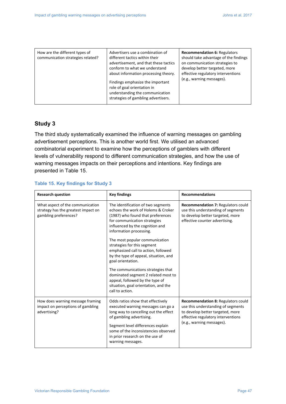| How are the different types of<br>communication strategies related? | Advertisers use a combination of<br>different tactics within their<br>advertisement, and that these tactics<br>conform to what we understand<br>about information processing theory.<br>Findings emphasize the important<br>role of goal orientation in<br>understanding the communication<br>strategies of gambling advertisers. | <b>Recommendation 6: Regulators</b><br>should take advantage of the findings<br>on communication strategies to<br>develop better targeted, more<br>effective regulatory interventions<br>(e.g., warning messages). |
|---------------------------------------------------------------------|-----------------------------------------------------------------------------------------------------------------------------------------------------------------------------------------------------------------------------------------------------------------------------------------------------------------------------------|--------------------------------------------------------------------------------------------------------------------------------------------------------------------------------------------------------------------|
|---------------------------------------------------------------------|-----------------------------------------------------------------------------------------------------------------------------------------------------------------------------------------------------------------------------------------------------------------------------------------------------------------------------------|--------------------------------------------------------------------------------------------------------------------------------------------------------------------------------------------------------------------|

#### **Study 3**

The third study systematically examined the influence of warning messages on gambling advertisement perceptions. This is another world first. We utilised an advanced combinatorial experiment to examine how the perceptions of gamblers with different levels of vulnerability respond to different communication strategies, and how the use of warning messages impacts on their perceptions and intentions. Key findings are presented in Table 15.

#### **Table 15. Key findings for Study 3**

| <b>Research question</b>                                                                         | <b>Key findings</b>                                                                                                                                                                                                                                                               | <b>Recommendations</b>                                                                                                                                                          |
|--------------------------------------------------------------------------------------------------|-----------------------------------------------------------------------------------------------------------------------------------------------------------------------------------------------------------------------------------------------------------------------------------|---------------------------------------------------------------------------------------------------------------------------------------------------------------------------------|
| What aspect of the communication<br>strategy has the greatest impact on<br>gambling preferences? | The identification of two segments<br>echoes the work of Holems & Croker<br>(1987) who found that preferences<br>for communication strategies<br>influenced by the cognition and<br>information processing.                                                                       | Recommendation 7: Regulators could<br>use this understanding of segments<br>to develop better targeted, more<br>effective counter advertising.                                  |
|                                                                                                  | The most popular communication<br>strategies for this segment<br>emphasized call to action, followed<br>by the type of appeal, situation, and<br>goal orientation.                                                                                                                |                                                                                                                                                                                 |
|                                                                                                  | The communications strategies that<br>dominated segment 2 related most to<br>appeal, followed by the type of<br>situation, goal orientation, and the<br>call to action.                                                                                                           |                                                                                                                                                                                 |
| How does warning message framing<br>impact on perceptions of gambling<br>advertising?            | Odds ratios show that effectively<br>executed warning messages can go a<br>long way to cancelling out the effect<br>of gambling advertising.<br>Segment level differences explain<br>some of the inconsistencies observed<br>in prior research on the use of<br>warning messages. | Recommendation 8: Regulators could<br>use this understanding of segments<br>to develop better targeted, more<br>effective regulatory interventions<br>(e.g., warning messages). |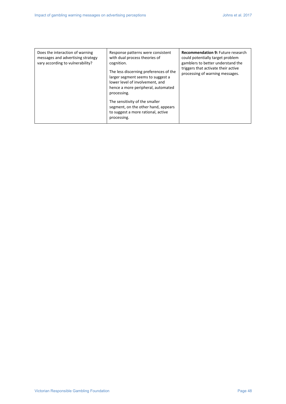| Does the interaction of warning<br>messages and advertising strategy<br>vary according to vulnerability? | Response patterns were consistent<br>with dual process theories of<br>cognition.<br>The less discerning preferences of the<br>larger segment seems to suggest a<br>lower level of involvement, and<br>hence a more peripheral, automated<br>processing.<br>The sensitivity of the smaller<br>segment, on the other hand, appears<br>to suggest a more rational, active<br>processing. | <b>Recommendation 9: Future research</b><br>could potentially target problem<br>gamblers to better understand the<br>triggers that activate their active<br>processing of warning messages. |
|----------------------------------------------------------------------------------------------------------|---------------------------------------------------------------------------------------------------------------------------------------------------------------------------------------------------------------------------------------------------------------------------------------------------------------------------------------------------------------------------------------|---------------------------------------------------------------------------------------------------------------------------------------------------------------------------------------------|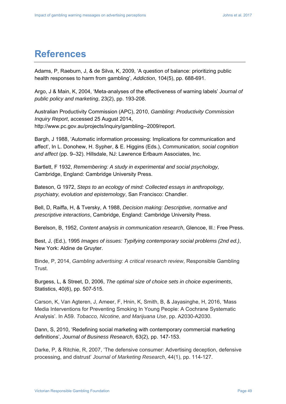## **References**

Adams, P, Raeburn, J, & de Silva, K, 2009, 'A question of balance: prioritizing public health responses to harm from gambling', *Addiction*, 104(5), pp. 688-691.

Argo, J & Main, K, 2004, 'Meta-analyses of the effectiveness of warning labels' *Journal of public policy and marketing*, 23(2), pp. 193-208.

Australian Productivity Commission (APC), 2010, *Gambling: Productivity Commission Inquiry Report*, accessed 25 August 2014, http://www.pc.gov.au/projects/inquiry/gambling--2009/report.

Bargh, J 1988, 'Automatic information processing: Implications for communication and affect', In L. Donohew, H. Sypher, & E. Higgins (Eds.), *Communication, social cognition and affect* (pp. 9–32). Hillsdale, NJ: Lawrence Erlbaum Associates, Inc.

Bartlett, F 1932, *Remembering: A study in experimental and social psychology,* Cambridge, England: Cambridge University Press.

Bateson, G 1972, *Steps to an ecology of mind: Collected essays in anthropology, psychiatry, evolution and epistemology*, San Francisco: Chandler.

Bell, D, Raiffa, H, & Tversky, A 1988, *Decision making: Descriptive, normative and prescriptive interactions*, Cambridge, England: Cambridge University Press.

Berelson, B, 1952, *Content analysis in communication research*, Glencoe, Ill.: Free Press.

Best, J, (Ed.), 1995 *Images of issues: Typifying contemporary social problems (2nd ed.)*, New York: Aldine de Gruyter.

Binde, P, 2014, *Gambling advertising: A critical research review*, Responsible Gambling Trust.

Burgess, L, & Street, D, 2006, *The optimal size of choice sets in choice experiments*, Statistics, 40(6), pp. 507-515.

Carson, K, Van Agteren, J, Ameer, F, Hnin, K, Smith, B, & Jayasinghe, H, 2016, 'Mass Media Interventions for Preventing Smoking In Young People: A Cochrane Systematic Analysis'. In A59. *Tobacco, Nicotine, and Marijuana Use*, pp. A2030-A2030.

Dann, S, 2010, 'Redefining social marketing with contemporary commercial marketing definitions', *Journal of Business Research*, 63(2), pp. 147-153.

Darke, P, & Ritchie, R, 2007, 'The defensive consumer: Advertising deception, defensive processing, and distrust' *Journal of Marketing Research*, 44(1), pp. 114-127.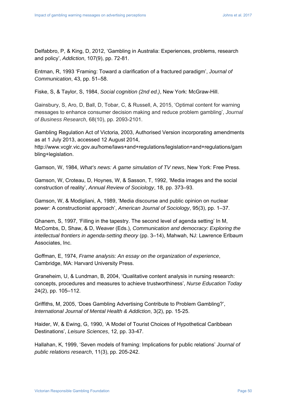Delfabbro, P, & King, D, 2012, 'Gambling in Australia: Experiences, problems, research and policy', *Addiction*, 107(9), pp. 72-81.

Entman, R, 1993 'Framing: Toward a clarification of a fractured paradigm', *Journal of Communication*, 43, pp. 51–58.

Fiske, S, & Taylor, S, 1984, *Social cognition (2nd ed.)*, New York: McGraw-Hill.

Gainsbury, S, Aro, D, Ball, D, Tobar, C, & Russell, A, 2015, 'Optimal content for warning messages to enhance consumer decision making and reduce problem gambling', *Journal of Business Research*, 68(10), pp. 2093-2101.

Gambling Regulation Act of Victoria, 2003, Authorised Version incorporating amendments as at 1 July 2013, accessed 12 August 2014,

http://www.vcglr.vic.gov.au/home/laws+and+regulations/legislation+and+regulations/gam bling+legislation.

Gamson, W, 1984, *What's news: A game simulation of TV news*, New York: Free Press.

Gamson, W, Croteau, D, Hoynes, W, & Sasson, T, 1992, 'Media images and the social construction of reality', *Annual Review of Sociology*, 18, pp. 373–93.

Gamson, W, & Modigliani, A, 1989, 'Media discourse and public opinion on nuclear power: A constructionist approach', *American Journal of Sociology*, 95(3), pp. 1–37.

Ghanem, S, 1997, 'Filling in the tapestry. The second level of agenda setting' In M, McCombs, D, Shaw, & D, Weaver (Eds.), *Communication and democracy: Exploring the intellectual frontiers in agenda-setting theory* (pp. 3–14), Mahwah, NJ: Lawrence Erlbaum Associates, Inc.

Goffman, E, 1974, *Frame analysis: An essay on the organization of experience*, Cambridge, MA: Harvard University Press.

Graneheim, U, & Lundman, B, 2004, 'Qualitative content analysis in nursing research: concepts, procedures and measures to achieve trustworthiness', *Nurse Education Today* 24(2), pp. 105–112.

Griffiths, M, 2005, 'Does Gambling Advertising Contribute to Problem Gambling?', *International Journal of Mental Health & Addiction*, 3(2), pp. 15-25.

Haider, W, & Ewing, G, 1990, 'A Model of Tourist Choices of Hypothetical Caribbean Destinations', *Leisure Sciences*, 12, pp. 33-47.

Hallahan, K, 1999, 'Seven models of framing: Implications for public relations' *Journal of public relations research*, 11(3), pp. 205-242.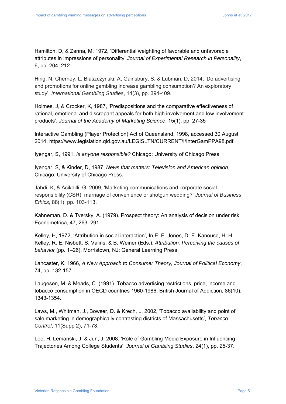Hamilton, D, & Zanna, M, 1972, 'Differential weighting of favorable and unfavorable attributes in impressions of personality' *Journal of Experimental Research in Personality*, 6, pp. 204–212.

Hing, N, Cherney, L, Blaszczynski, A, Gainsbury, S, & Lubman, D, 2014, 'Do advertising and promotions for online gambling increase gambling consumption? An exploratory study', *International Gambling Studies*, 14(3), pp. 394-409.

Holmes, J, & Crocker, K, 1987, 'Predispositions and the comparative effectiveness of rational, emotional and discrepant appeals for both high involvement and low involvement products', *Journal of the Academy of Marketing Science*, 15(1), pp. 27-35

Interactive Gambling (Player Protection) Act of Queensland, 1998, accessed 30 August 2014, https://www.legislation.qld.gov.au/LEGISLTN/CURRENT/I/InterGamPPA98.pdf.

Iyengar, S, 1991, *Is anyone responsible?* Chicago: University of Chicago Press.

Iyengar, S, & Kinder, D, 1987, *News that matters: Television and American opinion*, Chicago: University of Chicago Press.

Jahdi, K, & Acikdilli, G, 2009, 'Marketing communications and corporate social responsibility (CSR): marriage of convenience or shotgun wedding?' *Journal of Business Ethics*, 88(1), pp. 103-113.

Kahneman, D. & Tversky, A. (1979). Prospect theory: An analysis of decision under risk. Econometrica, 47, 263–291.

Kelley, H, 1972, 'Attribution in social interaction', In E. E. Jones, D. E. Kanouse, H. H. Kelley, R. E. Nisbett, S. Valins, & B. Weiner (Eds.), *Attribution: Perceiving the causes of behavior* (pp. 1–26). Morristown, NJ: General Learning Press.

Lancaster, K, 1966, *A New Approach to Consumer Theory, Journal of Political Economy*, 74, pp. 132-157.

Laugesen, M. & Meads, C. (1991). Tobacco advertising restrictions, price, income and tobacco consumption in OECD countries 1960-1986, British Journal of Addiction, 86(10), 1343-1354.

Laws, M., Whitman, J., Bowser, D. & Krech, L, 2002, 'Tobacco availability and point of sale marketing in demographically contrasting districts of Massachusetts', *Tobacco Control*, 11(Supp 2), 71-73.

Lee, H, Lemanski, J, & Jun, J, 2008, 'Role of Gambling Media Exposure in Influencing Trajectories Among College Students', *Journal of Gambling Studies*, 24(1), pp. 25-37.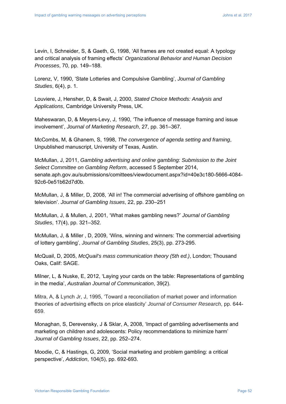Levin, I, Schneider, S, & Gaeth, G, 1998, 'All frames are not created equal: A typology and critical analysis of framing effects' *Organizational Behavior and Human Decision Processes*, 70, pp. 149–188.

Lorenz, V, 1990, 'State Lotteries and Compulsive Gambling', *Journal of Gambling Studies*, 6(4), p. 1.

Louviere, J, Hensher, D, & Swait, J, 2000, *Stated Choice Methods: Analysis and Applications*, Cambridge University Press, UK.

Maheswaran, D, & Meyers-Levy, J, 1990, 'The influence of message framing and issue involvement', *Journal of Marketing Research*, 27, pp. 361–367.

McCombs, M, & Ghanem, S, 1998, *The convergence of agenda setting and framing*, Unpublished manuscript, University of Texas, Austin.

McMullan, J, 2011, *Gambling advertising and online gambling: Submission to the Joint Select Committee on Gambling Reform*, accessed 5 September 2014, senate.aph.gov.au/submissions/comittees/viewdocument.aspx?id=40e3c180-5666-4084- 92c6-0e51b62d7d0b.

McMullan, J, & Miller, D, 2008, 'All in! The commercial advertising of offshore gambling on television'. *Journal of Gambling Issues*, 22, pp. 230–251

McMullan, J, & Mullen, J, 2001, 'What makes gambling news?' *Journal of Gambling Studies*, 17(4), pp. 321–352.

McMullan, J, & Miller , D, 2009, 'Wins, winning and winners: The commercial advertising of lottery gambling', *Journal of Gambling Studies*, 25(3), pp. 273-295.

McQuail, D, 2005, *McQuail's mass communication theory (5th ed.)*, London; Thousand Oaks, Calif: SAGE.

Milner, L, & Nuske, E, 2012, 'Laying your cards on the table: Representations of gambling in the media', *Australian Journal of Communication*, 39(2).

Mitra, A, & Lynch Jr, J, 1995, 'Toward a reconciliation of market power and information theories of advertising effects on price elasticity' *Journal of Consumer Research*, pp. 644- 659.

Monaghan, S, Derevensky, J & Sklar, A, 2008, 'Impact of gambling advertisements and marketing on children and adolescents: Policy recommendations to minimize harm' *Journal of Gambling Issues*, 22, pp. 252–274.

Moodie, C, & Hastings, G, 2009, 'Social marketing and problem gambling: a critical perspective', *Addiction*, 104(5), pp. 692-693.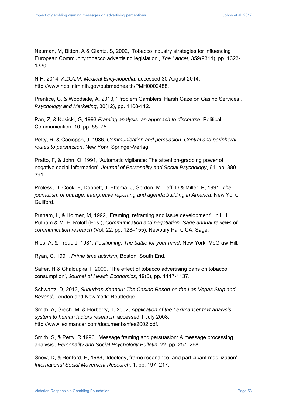Neuman, M, Bitton, A & Glantz, S, 2002, 'Tobacco industry strategies for influencing European Community tobacco advertising legislation', *The Lancet*, 359(9314), pp. 1323- 1330.

NIH, 2014, *A.D.A.M. Medical Encyclopedia*, accessed 30 August 2014, http://www.ncbi.nlm.nih.gov/pubmedhealth/PMH0002488.

Prentice, C, & Woodside, A, 2013, 'Problem Gamblers' Harsh Gaze on Casino Services', *Psychology and Marketing*, 30(12), pp. 1108-112.

Pan, Z, & Kosicki, G, 1993 *Framing analysis: an approach to discourse*, Political Communication, 10, pp. 55–75.

Petty, R, & Cacioppo, J, 1986, *Communication and persuasion: Central and peripheral routes to persuasion*. New York: Springer-Verlag.

Pratto, F, & John, O, 1991, 'Automatic vigilance: The attention-grabbing power of negative social information', *Journal of Personality and Social Psychology*, 61, pp. 380– 391.

Protess, D, Cook, F, Doppelt, J, Ettema, J, Gordon, M, Leff, D & Miller, P, 1991, *The journalism of outrage: Interpretive reporting and agenda building in America*, New York: Guilford.

Putnam, L, & Holmer, M, 1992, 'Framing, reframing and issue development', In L. L. Putnam & M. E. Roloff (Eds.), *Communication and negotiation. Sage annual reviews of communication research* (Vol. 22, pp. 128–155). Newbury Park, CA: Sage.

Ries, A, & Trout, J, 1981, *Positioning: The battle for your mind*, New York: McGraw-Hill.

Ryan, C, 1991, *Prime time activism*, Boston: South End.

Saffer, H & Chaloupka, F 2000, 'The effect of tobacco advertising bans on tobacco consumption', *Journal of Health Economics*, 19(6), pp. 1117-1137.

Schwartz, D, 2013, *Suburban Xanadu: The Casino Resort on the Las Vegas Strip and Beyond*, London and New York: Routledge.

Smith, A, Grech, M, & Horberry, T, 2002, *Application of the Leximancer text analysis system to human factors research*, accessed 1 July 2008, http://www.leximancer.com/documents/hfes2002.pdf.

Smith, S, & Petty, R 1996, 'Message framing and persuasion: A message processing analysis', *Personality and Social Psychology Bulletin*, 22, pp. 257–268.

Snow, D, & Benford, R, 1988, 'Ideology, frame resonance, and participant mobilization', *International Social Movement Research*, 1, pp. 197–217.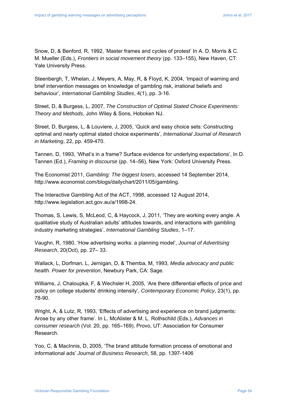Snow, D, & Benford, R, 1992, 'Master frames and cycles of protest' In A. D. Morris & C. M. Mueller (Eds.), *Frontiers in social movement theory* (pp. 133–155), New Haven, CT: Yale University Press.

Steenbergh, T, Whelan, J, Meyers, A, May, R, & Floyd, K, 2004, 'Impact of warning and brief intervention messages on knowledge of gambling risk, irrational beliefs and behaviour', *International Gambling Studies*, 4(1), pp. 3-16.

Street, D, & Burgess, L, 2007, *The Construction of Optimal Stated Choice Experiments: Theory and Methods*, John Wiley & Sons, Hoboken NJ.

Street, D, Burgess, L, & Louviere, J, 2005, 'Quick and easy choice sets: Constructing optimal and nearly optimal stated choice experiments', *International Journal of Research in Marketing*, 22, pp. 459-470.

Tannen, D, 1993, 'What's in a frame? Surface evidence for underlying expectations', In D. Tannen (Ed.), *Framing in discourse* (pp. 14–56), New York: Oxford University Press.

The Economist 2011, *Gambling: The biggest losers*, accessed 14 September 2014, http://www.economist.com/blogs/dailychart/2011/05/gambling.

The Interactive Gambling Act of the ACT, 1998, accessed 12 August 2014, http://www.legislation.act.gov.au/a/1998-24.

Thomas, S, Lewis, S, McLeod, C, & Haycock, J, 2011, 'They are working every angle. A qualitative study of Australian adults' attitudes towards, and interactions with gambling industry marketing strategies', *International Gambling Studies*, 1–17.

Vaughn, R, 1980, 'How advertising works: a planning model', *Journal of Advertising Research*, 20(Oct), pp. 27– 33.

Wallack, L, Dorfman, L, Jernigan, D, & Themba, M, 1993, *Media advocacy and public health. Power for prevention*, Newbury Park, CA: Sage.

Williams, J, Chaloupka, F, & Wechsler H, 2005, 'Are there differential effects of price and policy on college students' drinking intensity', *Contemporary Economic Policy*, 23(1), pp. 78-90.

Wright, A, & Lutz, R, 1993, 'Effects of advertising and experience on brand judgments: Arose by any other frame'. In L. McAlister & M. L. Rothschild (Eds.), *Advances in consumer research* (Vol. 20, pp. 165–169). Provo, UT: Association for Consumer Research.

Yoo, C, & MacInnis, D, 2005, 'The brand attitude formation process of emotional and informational ads' *Journal of Business Research*, 58, pp. 1397-1406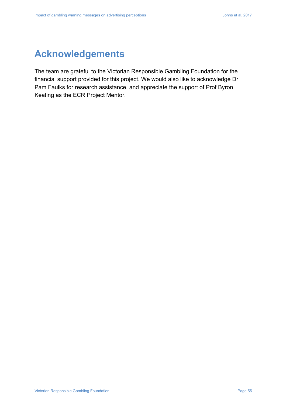## **Acknowledgements**

The team are grateful to the Victorian Responsible Gambling Foundation for the financial support provided for this project. We would also like to acknowledge Dr Pam Faulks for research assistance, and appreciate the support of Prof Byron Keating as the ECR Project Mentor.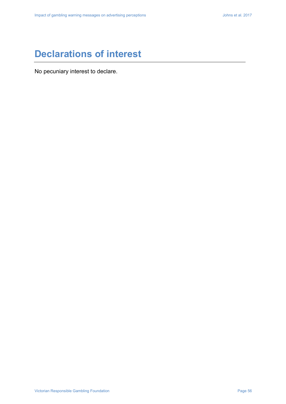## **Declarations of interest**

No pecuniary interest to declare.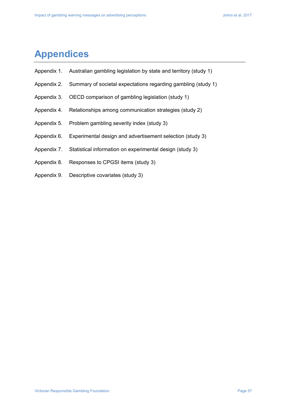## **Appendices**

- Appendix 1. Australian gambling legislation by state and territory (study 1)
- Appendix 2. Summary of societal expectations regarding gambling (study 1)
- Appendix 3. OECD comparison of gambling legislation (study 1)
- Appendix 4. Relationships among communication strategies (study 2)
- Appendix 5. Problem gambling severity index (study 3)
- Appendix 6. Experimental design and advertisement selection (study 3)
- Appendix 7. Statistical information on experimental design (study 3)
- Appendix 8. Responses to CPGSI items (study 3)
- Appendix 9. Descriptive covariates (study 3)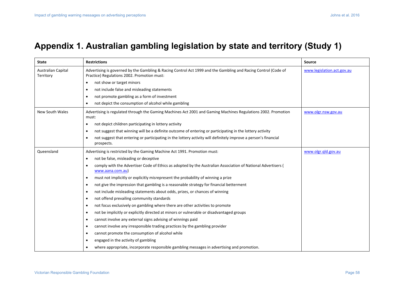## **Appendix 1. Australian gambling legislation by state and territory (Study 1)**

| <b>State</b>                    | <b>Restrictions</b>                                                                                                                                           | <b>Source</b>              |
|---------------------------------|---------------------------------------------------------------------------------------------------------------------------------------------------------------|----------------------------|
| Australian Capital<br>Territory | Advertising is governed by the Gambling & Racing Control Act 1999 and the Gambling and Racing Control (Code of<br>Practice) Regulations 2002. Promotion must: | www.legislation.act.gov.au |
|                                 | not show or target minors<br>$\bullet$                                                                                                                        |                            |
|                                 | not include false and misleading statements<br>$\bullet$                                                                                                      |                            |
|                                 | not promote gambling as a form of investment<br>$\bullet$                                                                                                     |                            |
|                                 | not depict the consumption of alcohol while gambling<br>$\bullet$                                                                                             |                            |
| New South Wales                 | Advertising is regulated through the Gaming Machines Act 2001 and Gaming Machines Regulations 2002. Promotion<br>must:                                        | www.olgr.nsw.gov.au        |
|                                 | not depict children participating in lottery activity<br>$\bullet$                                                                                            |                            |
|                                 | not suggest that winning will be a definite outcome of entering or participating in the lottery activity<br>$\bullet$                                         |                            |
|                                 | not suggest that entering or participating in the lottery activity will definitely improve a person's financial<br>$\bullet$<br>prospects.                    |                            |
| Queensland                      | Advertising is restricted by the Gaming Machine Act 1991. Promotion must:                                                                                     | www.olgr.qld.gov.au        |
|                                 | not be false, misleading or deceptive<br>$\bullet$                                                                                                            |                            |
|                                 | comply with the Advertiser Code of Ethics as adopted by the Australian Association of National Advertisers (<br>$\bullet$<br>www.aana.com.au)                 |                            |
|                                 | must not implicitly or explicitly misrepresent the probability of winning a prize<br>$\bullet$                                                                |                            |
|                                 | not give the impression that gambling is a reasonable strategy for financial betterment<br>$\bullet$                                                          |                            |
|                                 | not include misleading statements about odds, prizes, or chances of winning<br>$\bullet$                                                                      |                            |
|                                 | not offend prevailing community standards<br>$\bullet$                                                                                                        |                            |
|                                 | not focus exclusively on gambling where there are other activities to promote<br>$\bullet$                                                                    |                            |
|                                 | not be implicitly or explicitly directed at minors or vulnerable or disadvantaged groups<br>$\bullet$                                                         |                            |
|                                 | cannot involve any external signs advising of winnings paid<br>$\bullet$                                                                                      |                            |
|                                 | cannot involve any irresponsible trading practices by the gambling provider<br>$\bullet$                                                                      |                            |
|                                 | cannot promote the consumption of alcohol while<br>$\bullet$                                                                                                  |                            |
|                                 | engaged in the activity of gambling<br>$\bullet$                                                                                                              |                            |
|                                 | where appropriate, incorporate responsible gambling messages in advertising and promotion.                                                                    |                            |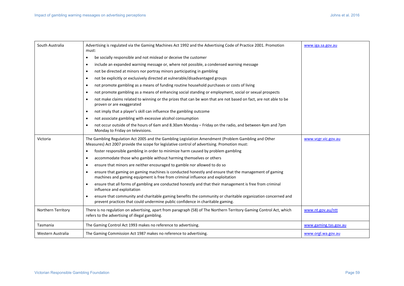| South Australia    | Advertising is regulated via the Gaming Machines Act 1992 and the Advertising Code of Practice 2001. Promotion<br>must:                                                                             | www.iga.sa.gov.au     |
|--------------------|-----------------------------------------------------------------------------------------------------------------------------------------------------------------------------------------------------|-----------------------|
|                    | be socially responsible and not mislead or deceive the customer<br>$\bullet$                                                                                                                        |                       |
|                    | include an expanded warning message or, where not possible, a condensed warning message<br>$\bullet$                                                                                                |                       |
|                    | not be directed at minors nor portray minors participating in gambling<br>$\bullet$                                                                                                                 |                       |
|                    | not be explicitly or exclusively directed at vulnerable/disadvantaged groups<br>$\bullet$                                                                                                           |                       |
|                    | not promote gambling as a means of funding routine household purchases or costs of living<br>$\bullet$                                                                                              |                       |
|                    | not promote gambling as a means of enhancing social standing or employment, social or sexual prospects<br>$\bullet$                                                                                 |                       |
|                    | not make claims related to winning or the prizes that can be won that are not based on fact, are not able to be<br>$\bullet$<br>proven or are exaggerated                                           |                       |
|                    | not imply that a player's skill can influence the gambling outcome<br>$\bullet$                                                                                                                     |                       |
|                    | not associate gambling with excessive alcohol consumption<br>$\bullet$                                                                                                                              |                       |
|                    | not occur outside of the hours of 6am and 8.30am Monday - Friday on the radio, and between 4pm and 7pm<br>$\bullet$<br>Monday to Friday on televisions.                                             |                       |
| Victoria           | The Gambling Regulation Act 2005 and the Gambling Legislation Amendment (Problem Gambling and Other<br>Measures) Act 2007 provide the scope for legislative control of advertising. Promotion must: | www.vcgr.vic.gov.au   |
|                    | foster responsible gambling in order to minimize harm caused by problem gambling<br>$\bullet$                                                                                                       |                       |
|                    | accommodate those who gamble without harming themselves or others<br>$\bullet$                                                                                                                      |                       |
|                    | ensure that minors are neither encouraged to gamble nor allowed to do so<br>$\bullet$                                                                                                               |                       |
|                    | ensure that gaming on gaming machines is conducted honestly and ensure that the management of gaming<br>$\bullet$<br>machines and gaming equipment is free from criminal influence and exploitation |                       |
|                    | ensure that all forms of gambling are conducted honestly and that their management is free from criminal<br>$\bullet$<br>influence and exploitation                                                 |                       |
|                    | ensure that community and charitable gaming benefits the community or charitable organization concerned and<br>prevent practices that could undermine public confidence in charitable gaming.       |                       |
| Northern Territory | There is no regulation on advertising, apart from paragraph (58) of The Northern Territory Gaming Control Act, which<br>refers to the advertising of illegal gambling.                              | www.nt.gov.au/ntt     |
| Tasmania           | The Gaming Control Act 1993 makes no reference to advertising.                                                                                                                                      | www.gaming.tas.gov.au |
| Western Australia  | The Gaming Commission Act 1987 makes no reference to advertising.                                                                                                                                   | www.orgl.wa.gov.au    |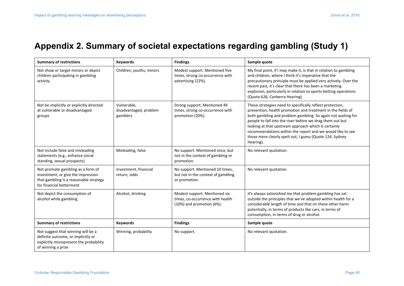## **Appendix 2. Summary of societal expectations regarding gambling (Study 1)**

| <b>Summary of restrictions</b>                                                                                                                | <b>Keywords</b>                                   | <b>Findings</b>                                                                                     | Sample quote                                                                                                                                                                                                                                                                                                                                                                                                                                         |
|-----------------------------------------------------------------------------------------------------------------------------------------------|---------------------------------------------------|-----------------------------------------------------------------------------------------------------|------------------------------------------------------------------------------------------------------------------------------------------------------------------------------------------------------------------------------------------------------------------------------------------------------------------------------------------------------------------------------------------------------------------------------------------------------|
| Not show or target minors or depict<br>children participating in gambling<br>activity                                                         | Children, youths, minors                          | Modest support. Mentioned five<br>times, strong co-occurrence with<br>advertising (22%).            | My final point, if I may make it, is that in relation to gambling<br>and children, where I think it's imperative that the<br>precautionary principle must be applied very actively. Over the<br>recent past, it's clear that there has been a marketing<br>explosion, particularly in relation to sports-betting operations<br>(Quote 626, Canberra Hearing).                                                                                        |
| Not be implicitly or explicitly directed<br>at vulnerable or disadvantaged<br>groups                                                          | Vulnerable,<br>disadvantaged, problem<br>gamblers | Strong support. Mentioned 49<br>times, strong co-occurrence with<br>promotion (20%).                | These strategies need to specifically reflect protection,<br>prevention, health promotion and treatment in the fields of<br>both gambling and problem gambling. So again not waiting for<br>people to fall into the river before we drag them out but<br>looking at that upstream approach which is certainly<br>recommendations within the report and we would like to see<br>those more clearly spelt out, I guess (Quote 124, Sydney<br>Hearing). |
| Not include false and misleading<br>statements (e.g., enhance social<br>standing, sexual prospects)                                           | Misleading, false                                 | No support. Mentioned once, but<br>not in the context of gambling or<br>promotion.                  | No relevant quotation.                                                                                                                                                                                                                                                                                                                                                                                                                               |
| Not promote gambling as a form of<br>investment, or give the impression<br>that gambling is a reasonable strategy<br>for financial betterment | Investment, financial<br>return, odds             | No support. Mentioned 10 times,<br>but not in the context of gambling<br>or promotion.              | No relevant quotation.                                                                                                                                                                                                                                                                                                                                                                                                                               |
| Not depict the consumption of<br>alcohol while gambling                                                                                       | Alcohol, drinking                                 | Modest support. Mentioned six<br>times, co-occurrence with health<br>$(10%)$ and promotion $(6%)$ . | it's always astonished me that problem gambling has sat<br>outside the principles that we've adopted within health for a<br>considerable length of time and that on these other harm<br>potentially, in terms of products like cars, in terms of<br>consumption, in terms of drug or alcohol.                                                                                                                                                        |
| <b>Summary of restrictions</b>                                                                                                                | <b>Keywords</b>                                   | <b>Findings</b>                                                                                     | Sample quote                                                                                                                                                                                                                                                                                                                                                                                                                                         |
| Not suggest that winning will be a<br>definite outcome, or implicitly or<br>explicitly misrepresent the probability<br>of winning a prize     | Winning, probability                              | No support.                                                                                         | No relevant quotation.                                                                                                                                                                                                                                                                                                                                                                                                                               |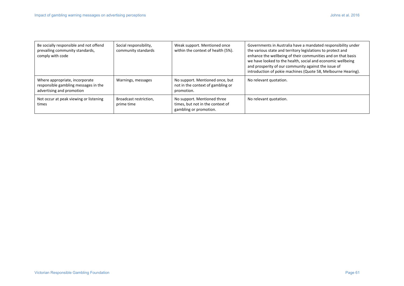| Be socially responsible and not offend<br>prevailing community standards,<br>comply with code       | Social responsibility,<br>community standards | Weak support. Mentioned once<br>within the context of health (5%).                        | Governments in Australia have a mandated responsibility under<br>the various state and territory legislations to protect and<br>enhance the wellbeing of their communities and on that basis<br>we have looked to the health, social and economic wellbeing<br>and prosperity of our community against the issue of<br>introduction of pokie machines (Quote 58, Melbourne Hearing). |
|-----------------------------------------------------------------------------------------------------|-----------------------------------------------|-------------------------------------------------------------------------------------------|--------------------------------------------------------------------------------------------------------------------------------------------------------------------------------------------------------------------------------------------------------------------------------------------------------------------------------------------------------------------------------------|
| Where appropriate, incorporate<br>responsible gambling messages in the<br>advertising and promotion | Warnings, messages                            | No support. Mentioned once, but<br>not in the context of gambling or<br>promotion.        | No relevant quotation.                                                                                                                                                                                                                                                                                                                                                               |
| Not occur at peak viewing or listening<br>times                                                     | Broadcast restriction,<br>prime time          | No support. Mentioned three<br>times, but not in the context of<br>gambling or promotion. | No relevant quotation.                                                                                                                                                                                                                                                                                                                                                               |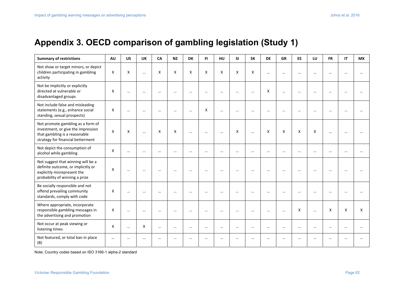## **Appendix 3. OECD comparison of gambling legislation (Study 1)**

| <b>Summary of restrictions</b>                                                                                                                | <b>AU</b>                 | <b>US</b> | <b>UK</b> | CA       | <b>NZ</b> | <b>DK</b> | FI.      | <b>HU</b> | <b>SI</b> | <b>SK</b> | <b>DE</b>                 | <b>GR</b> | <b>ES</b> | LU        | <b>FR</b> | IT        | <b>MX</b> |
|-----------------------------------------------------------------------------------------------------------------------------------------------|---------------------------|-----------|-----------|----------|-----------|-----------|----------|-----------|-----------|-----------|---------------------------|-----------|-----------|-----------|-----------|-----------|-----------|
| Not show or target minors, or depict<br>children participating in gambling<br>activity                                                        | X                         | X         | $\cdots$  | X        | X         | X         | X        | X         | X         | X         | $\cdots$                  | $\cdots$  | $\ddotsc$ | $\cdots$  | $\cdots$  | $\cdots$  |           |
| Not be implicitly or explicitly<br>directed at vulnerable or<br>disadvantaged groups                                                          | $\boldsymbol{\mathsf{X}}$ |           | $\cdots$  | $\cdots$ | $\cdots$  | $\cdots$  | $\cdots$ | $\cdots$  | $\cdots$  | $\cdots$  | X                         | $\cdots$  | $\cdots$  | $\cdots$  | $\cdots$  | $\cdots$  |           |
| Not include false and misleading<br>statements (e.g., enhance social<br>standing, sexual prospects)                                           | X                         | $\cdots$  | $\cdots$  | $\cdots$ | $\cdots$  | $\cdots$  | X        | $\cdots$  | $\cdots$  | $\cdots$  | $\cdots$                  | $\cdots$  | $\cdots$  | $\cdots$  | $\cdots$  | $\cdots$  |           |
| Not promote gambling as a form of<br>investment, or give the impression<br>that gambling is a reasonable<br>strategy for financial betterment | $\boldsymbol{\mathsf{X}}$ | X         | $\cdots$  | X        | X         | $\cdots$  | $\cdots$ | $\cdots$  | X         | $\cdots$  | $\boldsymbol{\mathsf{X}}$ | X         | X         | X         | $\cdots$  | $\cdots$  |           |
| Not depict the consumption of<br>alcohol while gambling                                                                                       | X                         | $\cdots$  | $\cdots$  | $\cdots$ | $\cdots$  | $\cdots$  |          |           | $\cdots$  | $\cdots$  | $\cdots$                  | $\cdots$  | $\cdots$  | $\cdots$  | $\cdots$  | $\ddotsc$ |           |
| Not suggest that winning will be a<br>definite outcome, or implicitly or<br>explicitly misrepresent the<br>probability of winning a prize     | X                         | $\cdots$  | $\cdots$  | $\cdots$ | $\cdots$  | $\cdots$  | $\cdots$ | $\cdots$  | $\cdots$  |           | $\cdots$                  | $\cdots$  | $\ddotsc$ | $\cdots$  | $\cdots$  | $\cdots$  |           |
| Be socially responsible and not<br>offend prevailing community<br>standards, comply with code                                                 | X                         | $\cdots$  | $\cdots$  | $\cdots$ | $\cdots$  | $\cdots$  | $\cdots$ | $\cdots$  | $\cdots$  | $\cdots$  | $\cdots$                  | $\cdots$  | $\cdots$  | $\ddotsc$ | $\cdots$  | $\cdots$  |           |
| Where appropriate, incorporate<br>responsible gambling messages in<br>the advertising and promotion                                           | X                         | $\cdots$  | $\cdots$  | $\cdots$ | $\cdots$  | $\cdots$  | $\cdots$ | $\cdots$  | $\cdots$  | $\cdots$  | $\cdots$                  | $\cdots$  | X         | $\cdots$  | X         | X         | X         |
| Not occur at peak viewing or<br>listening times                                                                                               | X                         | $\cdots$  | X         | $\cdots$ | $\cdots$  | $\cdots$  | $\cdots$ | $\cdots$  | $\cdots$  | $\cdots$  | $\cdots$                  | $\cdots$  | $\ddotsc$ | $\cdots$  | $\cdots$  | $\cdots$  |           |
| Not featured, or total ban in place<br>(B)                                                                                                    | $\cdots$                  | $\cdots$  | $\cdots$  | $\cdots$ | $\cdots$  | $\cdots$  |          |           | $\cdots$  | $\cdots$  | $\cdots$                  | $\cdots$  | $\cdots$  | $\cdots$  | $\cdots$  | $\cdots$  |           |

Note: Country codes based on ISO 3166-1 alpha-2 standard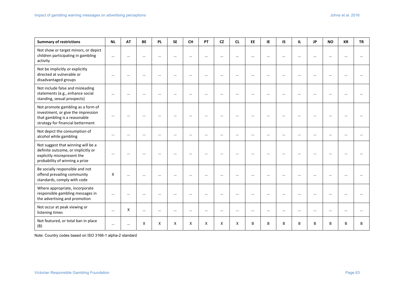| <b>Summary of restrictions</b>                                                                                                                | <b>NL</b> | <b>AT</b> | <b>BE</b> | <b>PL</b> | <b>SE</b> | <b>CH</b> | PT       | <b>CZ</b> | <b>CL</b> | <b>EE</b> | IE.       | IS        | IL.       | <b>JP</b> | <b>NO</b> | <b>KR</b> | <b>TR</b> |
|-----------------------------------------------------------------------------------------------------------------------------------------------|-----------|-----------|-----------|-----------|-----------|-----------|----------|-----------|-----------|-----------|-----------|-----------|-----------|-----------|-----------|-----------|-----------|
| Not show or target minors, or depict<br>children participating in gambling<br>activity                                                        | $\cdots$  | $\cdots$  | $\cdots$  | $\cdots$  | $\cdots$  | $\cdots$  | $\cdots$ | $\cdots$  |           | $\cdots$  | $\cdots$  | $\cdots$  | $\cdots$  | $\cdots$  | $\cdots$  |           |           |
| Not be implicitly or explicitly<br>directed at vulnerable or<br>disadvantaged groups                                                          | $\cdots$  | $\cdots$  | $\cdots$  | $\cdots$  | $\cdots$  | $\cdots$  | $\cdots$ | $\cdots$  | $\cdots$  | $\cdots$  | $\cdots$  | $\cdots$  | $\cdots$  | $\cdots$  | $\cdots$  | $\cdots$  |           |
| Not include false and misleading<br>statements (e.g., enhance social<br>standing, sexual prospects)                                           | $\cdots$  | $\cdots$  | $\cdots$  | $\cdots$  |           |           |          |           |           | $\ddotsc$ | $\ddotsc$ | $\ddotsc$ |           | $\ddotsc$ | $\cdots$  |           |           |
| Not promote gambling as a form of<br>investment, or give the impression<br>that gambling is a reasonable<br>strategy for financial betterment | $\cdots$  | $\cdots$  | $\cdots$  | $\cdots$  | $\cdots$  | $\cdots$  | $\cdots$ | $\cdots$  |           | $\cdots$  | $\cdots$  | $\cdots$  | $\cdots$  | $\ddotsc$ | $\cdots$  |           |           |
| Not depict the consumption of<br>alcohol while gambling                                                                                       | $\cdots$  | $\cdots$  | $\cdots$  | $\cdots$  | $\cdots$  |           | $\cdots$ | $\cdots$  | $\ddotsc$ | $\cdots$  | $\cdots$  | $\cdots$  | $\cdots$  | $\cdots$  | $\cdots$  |           |           |
| Not suggest that winning will be a<br>definite outcome, or implicitly or<br>explicitly misrepresent the<br>probability of winning a prize     | $\cdots$  | $\cdots$  | $\cdots$  | $\cdots$  | $\cdots$  | $\cdots$  | $\cdots$ |           |           | $\cdots$  | $\cdots$  |           | $\ddotsc$ | $\cdots$  |           |           |           |
| Be socially responsible and not<br>offend prevailing community<br>standards, comply with code                                                 | X         | $\cdots$  | $\cdots$  | $\cdots$  | $\cdots$  | $\cdots$  | $\cdots$ | $\cdots$  | $\cdots$  | $\cdots$  | $\ddotsc$ | $\cdots$  | $\cdots$  | $\cdots$  | $\cdots$  | $\ddotsc$ |           |
| Where appropriate, incorporate<br>responsible gambling messages in<br>the advertising and promotion                                           | $\cdots$  | $\ddotsc$ | $\cdots$  | $\cdots$  | $\cdots$  |           | $\cdots$ | $\cdots$  |           | $\cdots$  | $\cdots$  | $\cdots$  | $\cdots$  | $\cdots$  | $\cdots$  |           |           |
| Not occur at peak viewing or<br>listening times                                                                                               | $\cdots$  | X         | $\cdots$  | $\cdots$  | $\cdots$  | $\cdots$  | $\cdots$ | $\cdots$  |           | $\cdots$  | $\cdots$  | $\cdots$  | $\cdots$  | $\cdots$  | $\cdots$  |           |           |
| Not featured, or total ban in place<br>(B)                                                                                                    | $\cdots$  | $\cdots$  | X         | X         | X         | X         | X        | X         | X         | B         | B         | B         | B         | B         | B         | B         | B         |

Note: Country codes based on ISO 3166-1 alpha-2 standard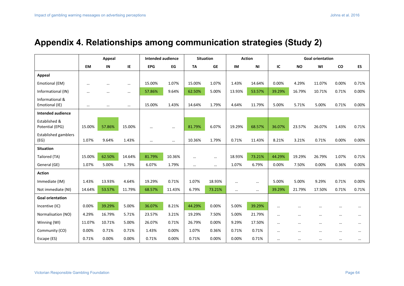## **Appendix 4. Relationships among communication strategies (Study 2)**

|                                     | <b>Appeal</b> |          |          | <b>Intended audience</b> |          |           | <b>Situation</b> |          | <b>Action</b> |          |           | <b>Goal orientation</b> |           |          |
|-------------------------------------|---------------|----------|----------|--------------------------|----------|-----------|------------------|----------|---------------|----------|-----------|-------------------------|-----------|----------|
|                                     | <b>EM</b>     | IN       | IE       | <b>EPG</b>               | EG       | <b>TA</b> | <b>GE</b>        | IM       | ΝI            | IC       | <b>NO</b> | WI                      | <b>CO</b> | ES       |
| <b>Appeal</b>                       |               |          |          |                          |          |           |                  |          |               |          |           |                         |           |          |
| Emotional (EM)                      | $\cdots$      |          | $\cdots$ | 15.00%                   | 1.07%    | 15.00%    | 1.07%            | 1.43%    | 14.64%        | 0.00%    | 4.29%     | 11.07%                  | 0.00%     | 0.71%    |
| Informational (IN)                  | $\cdots$      | $\cdots$ | $\cdots$ | 57.86%                   | 9.64%    | 62.50%    | 5.00%            | 13.93%   | 53.57%        | 39.29%   | 16.79%    | 10.71%                  | 0.71%     | 0.00%    |
| Informational &<br>Emotional (IE)   | $\cdots$      | $\cdots$ | $\cdots$ | 15.00%                   | 1.43%    | 14.64%    | 1.79%            | 4.64%    | 11.79%        | 5.00%    | 5.71%     | 5.00%                   | 0.71%     | 0.00%    |
| Intended audience                   |               |          |          |                          |          |           |                  |          |               |          |           |                         |           |          |
| Established &<br>Potential (EPG)    | 15.00%        | 57.86%   | 15.00%   | $\cdots$                 | $\cdots$ | 81.79%    | 6.07%            | 19.29%   | 68.57%        | 36.07%   | 23.57%    | 26.07%                  | 1.43%     | 0.71%    |
| <b>Established gamblers</b><br>(EG) | 1.07%         | 9.64%    | 1.43%    | $\cdots$                 | $\cdots$ | 10.36%    | 1.79%            | 0.71%    | 11.43%        | 8.21%    | 3.21%     | 0.71%                   | 0.00%     | 0.00%    |
| <b>Situation</b>                    |               |          |          |                          |          |           |                  |          |               |          |           |                         |           |          |
| Tailored (TA)                       | 15.00%        | 62.50%   | 14.64%   | 81.79%                   | 10.36%   | $\cdots$  | $\cdots$         | 18.93%   | 73.21%        | 44.29%   | 19.29%    | 26.79%                  | 1.07%     | 0.71%    |
| General (GE)                        | 1.07%         | 5.00%    | 1.79%    | 6.07%                    | 1.79%    | $\cdots$  | $\cdots$         | 1.07%    | 6.79%         | 0.00%    | 7.50%     | 0.00%                   | 0.36%     | 0.00%    |
| <b>Action</b>                       |               |          |          |                          |          |           |                  |          |               |          |           |                         |           |          |
| Immediate (IM)                      | 1.43%         | 13.93%   | 4.64%    | 19.29%                   | 0.71%    | 1.07%     | 18.93%           |          | $\cdots$      | 5.00%    | 5.00%     | 9.29%                   | 0.71%     | 0.00%    |
| Not immediate (NI)                  | 14.64%        | 53.57%   | 11.79%   | 68.57%                   | 11.43%   | 6.79%     | 73.21%           | $\cdots$ |               | 39.29%   | 21.79%    | 17.50%                  | 0.71%     | 0.71%    |
| <b>Goal orientation</b>             |               |          |          |                          |          |           |                  |          |               |          |           |                         |           |          |
| Incentive (IC)                      | 0.00%         | 39.29%   | 5.00%    | 36.07%                   | 8.21%    | 44.29%    | 0.00%            | 5.00%    | 39.29%        | $\cdots$ | $\cdots$  | $\cdots$                | $\cdots$  | $\cdots$ |
| Normalisation (NO)                  | 4.29%         | 16.79%   | 5.71%    | 23.57%                   | 3.21%    | 19.29%    | 7.50%            | 5.00%    | 21.79%        | $\cdots$ | $\cdots$  | $\cdots$                | $\cdots$  | $\cdots$ |
| Winning (WI)                        | 11.07%        | 10.71%   | 5.00%    | 26.07%                   | 0.71%    | 26.79%    | 0.00%            | 9.29%    | 17.50%        | $\cdots$ | $\cdots$  | $\cdots$                | $\cdots$  | $\cdots$ |
| Community (CO)                      | 0.00%         | 0.71%    | 0.71%    | 1.43%                    | 0.00%    | 1.07%     | 0.36%            | 0.71%    | 0.71%         | $\cdots$ | $\cdots$  | $\cdots$                | $\cdots$  | $\cdots$ |
| Escape (ES)                         | 0.71%         | 0.00%    | 0.00%    | 0.71%                    | 0.00%    | 0.71%     | 0.00%            | 0.00%    | 0.71%         |          |           |                         | $\cdots$  |          |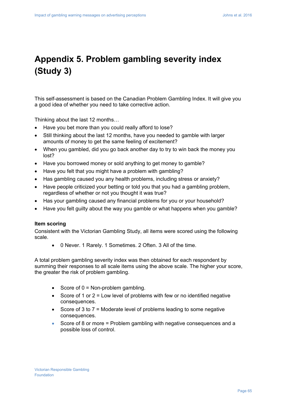## **Appendix 5. Problem gambling severity index (Study 3)**

This self-assessment is based on the Canadian Problem Gambling Index. It will give you a good idea of whether you need to take corrective action.

Thinking about the last 12 months…

- Have you bet more than you could really afford to lose?
- Still thinking about the last 12 months, have you needed to gamble with larger amounts of money to get the same feeling of excitement?
- When you gambled, did you go back another day to try to win back the money you lost?
- Have you borrowed money or sold anything to get money to gamble?
- Have you felt that you might have a problem with gambling?
- Has gambling caused you any health problems, including stress or anxiety?
- Have people criticized your betting or told you that you had a gambling problem, regardless of whether or not you thought it was true?
- Has your gambling caused any financial problems for you or your household?
- Have you felt guilty about the way you gamble or what happens when you gamble?

#### **Item scoring**

Consistent with the Victorian Gambling Study, all items were scored using the following scale.

0 Never. 1 Rarely. 1 Sometimes. 2 Often. 3 All of the time.

A total problem gambling severity index was then obtained for each respondent by summing their responses to all scale items using the above scale. The higher your score, the greater the risk of problem gambling.

- Score of  $0 = \text{Non-problem gambling}$ .
- Score of 1 or  $2$  = Low level of problems with few or no identified negative consequences.
- Score of 3 to  $7 =$  Moderate level of problems leading to some negative consequences.
- Score of 8 or more = Problem gambling with negative consequences and a possible loss of control.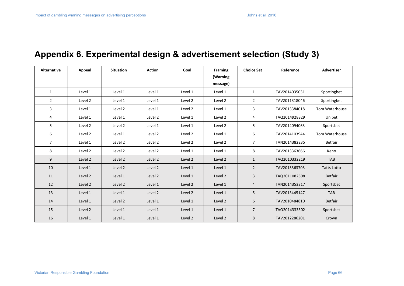## **Appendix 6. Experimental design & advertisement selection (Study 3)**

| <b>Alternative</b> | <b>Appeal</b> | <b>Situation</b> | <b>Action</b> | Goal    | <b>Framing</b> | <b>Choice Set</b> | Reference     | <b>Advertiser</b>  |
|--------------------|---------------|------------------|---------------|---------|----------------|-------------------|---------------|--------------------|
|                    |               |                  |               |         | (Warning       |                   |               |                    |
|                    |               |                  |               |         | message)       |                   |               |                    |
| 1                  | Level 1       | Level 1          | Level 1       | Level 1 | Level 1        | 1                 | TAV2014035031 | Sportingbet        |
| $\overline{2}$     | Level 2       | Level 1          | Level 1       | Level 2 | Level 2        | $\overline{2}$    | TAV2011318046 | Sportingbet        |
| 3                  | Level 1       | Level 2          | Level 1       | Level 2 | Level 1        | 3                 | TAV2013384018 | Tom Waterhouse     |
| 4                  | Level 1       | Level 1          | Level 2       | Level 1 | Level 2        | 4                 | TAQ2014928829 | Unibet             |
| 5                  | Level 2       | Level 2          | Level 1       | Level 1 | Level 2        | 5                 | TAV2014094063 | Sportsbet          |
| 6                  | Level 2       | Level 1          | Level 2       | Level 2 | Level 1        | 6                 | TAV2014103944 | Tom Waterhouse     |
| $\overline{7}$     | Level 1       | Level 2          | Level 2       | Level 2 | Level 2        | $\overline{7}$    | TAN2014382235 | <b>Betfair</b>     |
| 8                  | Level 2       | Level 2          | Level 2       | Level 1 | Level 1        | 8                 | TAV2013363666 | Keno               |
| 9                  | Level 2       | Level 2          | Level 2       | Level 2 | Level 2        | $\mathbf{1}$      | TAQ2010332219 | <b>TAB</b>         |
| 10                 | Level 1       | Level 2          | Level 2       | Level 1 | Level 1        | $\overline{2}$    | TAV2013363703 | <b>Tatts Lotto</b> |
| 11                 | Level 2       | Level 1          | Level 2       | Level 1 | Level 2        | 3                 | TAQ2011082508 | <b>Betfair</b>     |
| 12                 | Level 2       | Level 2          | Level 1       | Level 2 | Level 1        | 4                 | TAN2014353317 | Sportsbet          |
| 13                 | Level 1       | Level 1          | Level 2       | Level 2 | Level 1        | 5                 | TAV2013445147 | <b>TAB</b>         |
| 14                 | Level 1       | Level 2          | Level 1       | Level 1 | Level 2        | 6                 | TAV2010484810 | <b>Betfair</b>     |
| 15                 | Level 2       | Level 1          | Level 1       | Level 1 | Level 1        | $\overline{7}$    | TAQ2014333302 | Sportsbet          |
| 16                 | Level 1       | Level 1          | Level 1       | Level 2 | Level 2        | 8                 | TAV2012286201 | Crown              |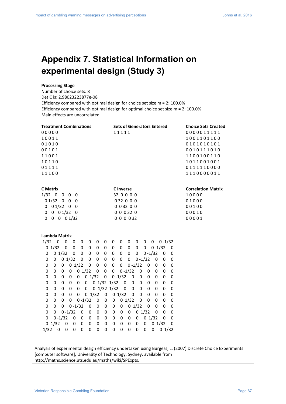## **Appendix 7. Statistical Information on experimental design (Study 3)**

#### **Processing Stage**

Number of choice sets: 8 Det C is: 2.98023223877e‐08 Efficiency compared with optimal design for choice set size m = 2: 100.0% Efficiency compared with optimal design for optimal choice set size m = 2: 100.0% Main effects are uncorrelated

| <b>Treatment Combinations</b>                                                         | <b>Sets of Generators Entered</b>                                           | <b>Choice Sets Created</b> |
|---------------------------------------------------------------------------------------|-----------------------------------------------------------------------------|----------------------------|
| 00000                                                                                 | 11111                                                                       | 0000011111                 |
| 10011                                                                                 |                                                                             | 1001101100                 |
| 01010                                                                                 |                                                                             | 0101010101                 |
| 00101                                                                                 |                                                                             | 0010111010                 |
| 11001                                                                                 |                                                                             | 1100100110                 |
| 10110                                                                                 |                                                                             | 1011001001                 |
| 01111                                                                                 |                                                                             | 0111110000                 |
| 11100                                                                                 |                                                                             | 1110000011                 |
|                                                                                       |                                                                             |                            |
| <b>C</b> Matrix                                                                       | <b>C</b> Inverse                                                            | <b>Correlation Matrix</b>  |
| $1/32$ 0 0<br>$0\quad 0$                                                              | 32 0 0 0 0                                                                  | 10000                      |
| 01/320<br>$\overline{0}$<br>0                                                         | 032 0 0 0                                                                   | 01000                      |
| $0 \t 0 \t 1/32 \t 0$<br>$\overline{0}$                                               | 003200                                                                      | 00100                      |
| $0$ 0 1/32 0<br>0                                                                     | 000320                                                                      | 00010                      |
| $0 \t 0 \t 1/32$<br>$\mathbf 0$<br>0                                                  | 0 0 0 0 32                                                                  | 00001                      |
|                                                                                       |                                                                             |                            |
| Lambda Matrix                                                                         |                                                                             |                            |
| 1/32<br>$\boldsymbol{0}$<br>$\mathbf 0$<br>0<br>0<br>0<br>0<br>0                      | $0 - 1/32$<br>0<br>0<br>0<br>0<br>$\overline{\mathbf{0}}$<br>0              |                            |
| $0 \t1/32$<br>0<br>$\mathbf 0$<br>$\mathbf 0$<br>0<br>0<br>0                          | $0 - 1/32$<br>0<br>0<br>$\mathbf 0$<br>0<br>0<br>0                          |                            |
| $0 \t1/32$<br>0<br>$\mathbf 0$<br>0<br>0<br>$\mathbf 0$<br>0                          | $0 - 1/32$<br>0<br>0<br>0<br>$\mathbf 0$<br>0<br>0                          |                            |
| $0 \t1/32$<br>0<br>$\mathbf 0$<br>0<br>$\mathbf 0$<br>0<br>$\mathbf 0$                | $0 - 1/32$<br>0<br>0<br>$\mathbf 0$<br>0<br>0<br>0                          |                            |
| 01/32<br>$\mathbf 0$<br>$\mathbf 0$<br>$\mathbf 0$<br>0<br>0<br>0                     | $0 - 1/32$<br>0<br>0<br>0<br>0<br>0<br>0                                    |                            |
| 01/32<br>$\mathbf 0$<br>0<br>$\mathbf 0$<br>0<br>0<br>0                               | $0 - 1/32$<br>0<br>0<br>$\bf{0}$<br>$\boldsymbol{0}$<br>0<br>0              |                            |
| $0 \t1/32$<br>0<br>0<br>0<br>0<br>0<br>0                                              | $0 - 1/32$<br>$\mathbf 0$<br>0<br>0<br>0<br>0<br>0                          |                            |
| $0$ 1/32 -1/32<br>$\Omega$<br>0<br>0<br>0<br>0<br>0                                   | 0<br>0<br>0<br>$\Omega$<br>0<br>0<br>0                                      |                            |
| $0 - 1/32$ $1/32$<br>$\Omega$<br>$\mathbf 0$<br>0<br>0<br>0<br>0                      | 0<br>$\mathbf 0$<br>$\boldsymbol{0}$<br>$\mathbf{0}$<br>0<br>0<br>0         |                            |
| $0 - 1/32$<br>$\mathbf 0$<br>$\mathbf 0$<br>0<br>0<br>$\Omega$<br>0                   | $0 \t1/32$<br>$\Omega$<br>$\mathbf 0$<br>$\pmb{0}$<br>$\mathbf 0$<br>0<br>0 |                            |
| 0<br>$0 - 1/32$<br>0<br>0<br>0<br>0<br>0                                              | 01/32<br>$\mathbf 0$<br>$\boldsymbol{0}$<br>0<br>0<br>$\Omega$<br>0         |                            |
| $0 - 1/32$<br>$\mathbf 0$<br>0<br>$\Omega$<br>0<br>0<br>0                             | $0 \t1/32$<br>0<br>0<br>0<br>0<br>0<br>0                                    |                            |
| $0 - 1/32$<br>$\Omega$<br>$\mathbf 0$<br>$\Omega$<br>$\Omega$<br>$\Omega$<br>$\Omega$ | $\Omega$<br>$\Omega$<br>$0 \t1/32$<br>$\Omega$<br>0<br>$\Omega$<br>$\Omega$ |                            |

Analysis of experimental design efficiency undertaken using Burgess, L. (2007) Discrete Choice Experiments [computer software], University of Technology, Sydney, available from http://maths.science.uts.edu.au/maths/wiki/SPExpts.

 0 0 ‐1/32 0 0 0 0 0 0 0 0 0 0 1/32 0 0 0 ‐1/32 0 0 0 0 0 0 0 0 0 0 0 0 1/32 0  $-1/32$  0 0 0 0 0 0 0 0 0 0 0 0 0 0 0 1/32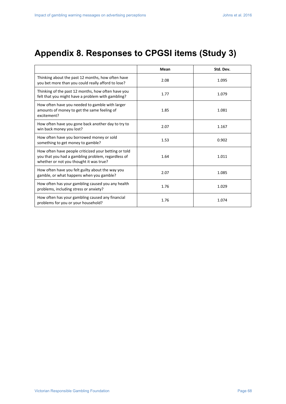## **Appendix 8. Responses to CPGSI items (Study 3)**

|                                                                                                                                                        | Mean | Std. Dev. |
|--------------------------------------------------------------------------------------------------------------------------------------------------------|------|-----------|
| Thinking about the past 12 months, how often have<br>you bet more than you could really afford to lose?                                                | 2.08 | 1.095     |
| Thinking of the past 12 months, how often have you<br>felt that you might have a problem with gambling?                                                | 1.77 | 1.079     |
| How often have you needed to gamble with larger<br>amounts of money to get the same feeling of<br>excitement?                                          | 1.85 | 1.081     |
| How often have you gone back another day to try to<br>win back money you lost?                                                                         | 2.07 | 1.167     |
| How often have you borrowed money or sold<br>something to get money to gamble?                                                                         | 1.53 | 0.902     |
| How often have people criticized your betting or told<br>you that you had a gambling problem, regardless of<br>whether or not you thought it was true? | 1.64 | 1.011     |
| How often have you felt guilty about the way you<br>gamble, or what happens when you gamble?                                                           | 2.07 | 1.085     |
| How often has your gambling caused you any health<br>problems, including stress or anxiety?                                                            | 1.76 | 1.029     |
| How often has your gambling caused any financial<br>problems for you or your household?                                                                | 1.76 | 1.074     |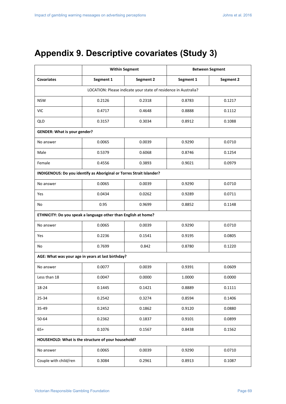## **Appendix 9. Descriptive covariates (Study 3)**

|                                                                      | <b>Within Segment</b> |                                                                 | <b>Between Segment</b> |           |  |  |  |  |  |  |  |
|----------------------------------------------------------------------|-----------------------|-----------------------------------------------------------------|------------------------|-----------|--|--|--|--|--|--|--|
| <b>Covariates</b>                                                    | Segment 1             | Segment 2                                                       | Segment 1              | Segment 2 |  |  |  |  |  |  |  |
|                                                                      |                       | LOCATION: Please indicate your state of residence in Australia? |                        |           |  |  |  |  |  |  |  |
| <b>NSW</b>                                                           | 0.2126                | 0.2318                                                          | 0.8783                 | 0.1217    |  |  |  |  |  |  |  |
| <b>VIC</b>                                                           | 0.4717                | 0.4648                                                          | 0.8888                 | 0.1112    |  |  |  |  |  |  |  |
| <b>QLD</b>                                                           | 0.3157                | 0.3034                                                          | 0.8912                 | 0.1088    |  |  |  |  |  |  |  |
| <b>GENDER: What is your gender?</b>                                  |                       |                                                                 |                        |           |  |  |  |  |  |  |  |
| No answer                                                            | 0.0065                | 0.0039                                                          | 0.9290                 | 0.0710    |  |  |  |  |  |  |  |
| Male                                                                 | 0.5379                | 0.6068                                                          | 0.8746                 | 0.1254    |  |  |  |  |  |  |  |
| Female                                                               | 0.4556                | 0.3893                                                          | 0.9021                 | 0.0979    |  |  |  |  |  |  |  |
| INDIGENOUS: Do you identify as Aboriginal or Torres Strait Islander? |                       |                                                                 |                        |           |  |  |  |  |  |  |  |
| No answer                                                            | 0.0065                | 0.0039                                                          | 0.9290                 | 0.0710    |  |  |  |  |  |  |  |
| Yes                                                                  | 0.0434                | 0.0262                                                          | 0.9289                 | 0.0711    |  |  |  |  |  |  |  |
| No                                                                   | 0.95                  | 0.9699                                                          | 0.8852                 | 0.1148    |  |  |  |  |  |  |  |
| ETHNICITY: Do you speak a language other than English at home?       |                       |                                                                 |                        |           |  |  |  |  |  |  |  |
| No answer                                                            | 0.0065                | 0.0039                                                          | 0.9290                 | 0.0710    |  |  |  |  |  |  |  |
| Yes                                                                  | 0.2236                | 0.1541                                                          | 0.9195                 | 0.0805    |  |  |  |  |  |  |  |
| No                                                                   | 0.7699                | 0.842                                                           | 0.8780                 | 0.1220    |  |  |  |  |  |  |  |
| AGE: What was your age in years at last birthday?                    |                       |                                                                 |                        |           |  |  |  |  |  |  |  |
| No answer                                                            | 0.0077                | 0.0039                                                          | 0.9391                 | 0.0609    |  |  |  |  |  |  |  |
| Less than 18                                                         | 0.0047                | 0.0000                                                          | 1.0000                 | 0.0000    |  |  |  |  |  |  |  |
| 18-24                                                                | 0.1445                | 0.1421                                                          | 0.8889                 | 0.1111    |  |  |  |  |  |  |  |
| 25-34                                                                | 0.2542                | 0.3274                                                          | 0.8594                 | 0.1406    |  |  |  |  |  |  |  |
| 35-49                                                                | 0.2452                | 0.1862                                                          | 0.9120                 | 0.0880    |  |  |  |  |  |  |  |
| 50-64                                                                | 0.2362                | 0.1837                                                          | 0.9101                 | 0.0899    |  |  |  |  |  |  |  |
| $65+$                                                                | 0.1076                | 0.1567                                                          | 0.8438                 | 0.1562    |  |  |  |  |  |  |  |
| HOUSEHOLD: What is the structure of your household?                  |                       |                                                                 |                        |           |  |  |  |  |  |  |  |
| No answer                                                            | 0.0065                | 0.0039                                                          | 0.9290                 | 0.0710    |  |  |  |  |  |  |  |
| Couple with child/ren                                                | 0.3084                | 0.2961                                                          | 0.8913                 | 0.1087    |  |  |  |  |  |  |  |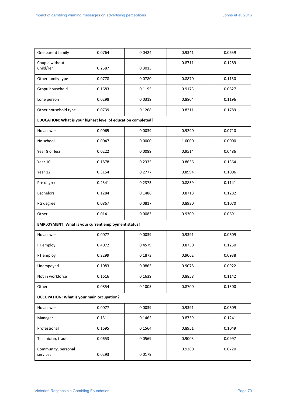| One parent family                                             | 0.0764 | 0.0424 | 0.9341 | 0.0659 |
|---------------------------------------------------------------|--------|--------|--------|--------|
| Couple without<br>Child/ren                                   | 0.2587 | 0.3013 | 0.8711 | 0.1289 |
| Other family type                                             | 0.0778 | 0.0780 | 0.8870 | 0.1130 |
| Gropu household                                               | 0.1683 | 0.1195 | 0.9173 | 0.0827 |
| Lone person                                                   | 0.0298 | 0.0319 | 0.8804 | 0.1196 |
| Other household type                                          | 0.0739 | 0.1268 | 0.8211 | 0.1789 |
| EDUCATION: What is your highest level of education completed? |        |        |        |        |
| No answer                                                     | 0.0065 | 0.0039 | 0.9290 | 0.0710 |
| No school                                                     | 0.0047 | 0.0000 | 1.0000 | 0.0000 |
| Year 8 or less                                                | 0.0222 | 0.0089 | 0.9514 | 0.0486 |
| Year 10                                                       | 0.1878 | 0.2335 | 0.8636 | 0.1364 |
| Year 12                                                       | 0.3154 | 0.2777 | 0.8994 | 0.1006 |
| Pre degree                                                    | 0.2341 | 0.2373 | 0.8859 | 0.1141 |
| <b>Bachelors</b>                                              | 0.1284 | 0.1486 | 0.8718 | 0.1282 |
| PG degree                                                     | 0.0867 | 0.0817 | 0.8930 | 0.1070 |
| Other                                                         | 0.0141 | 0.0083 | 0.9309 | 0.0691 |
| EMPLOYMENT: What is your current employment status?           |        |        |        |        |
| No answer                                                     | 0.0077 | 0.0039 | 0.9391 | 0.0609 |
| FT employ                                                     | 0.4072 | 0.4579 | 0.8750 | 0.1250 |
| PT employ                                                     | 0.2299 | 0.1873 | 0.9062 | 0.0938 |
| Unempoyed                                                     | 0.1083 | 0.0865 | 0.9078 | 0.0922 |
| Not in workforce                                              | 0.1616 | 0.1639 | 0.8858 | 0.1142 |
| Other                                                         | 0.0854 | 0.1005 | 0.8700 | 0.1300 |
| <b>OCCUPATION: What is your main occupation?</b>              |        |        |        |        |
| No answer                                                     | 0.0077 | 0.0039 | 0.9391 | 0.0609 |
| Manager                                                       | 0.1311 | 0.1462 | 0.8759 | 0.1241 |
| Professional                                                  | 0.1695 | 0.1564 | 0.8951 | 0.1049 |
| Technician, trade                                             | 0.0653 | 0.0569 | 0.9003 | 0.0997 |
| Community, personal<br>services                               | 0.0293 | 0.0179 | 0.9280 | 0.0720 |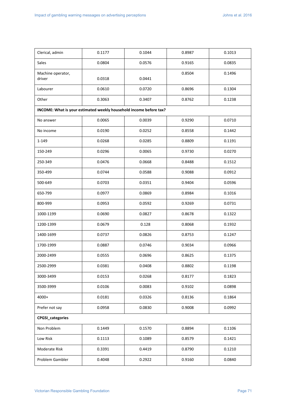Victorian Responsible Gambling Foundation **Page 71 Page 71 Page 71 Page 71**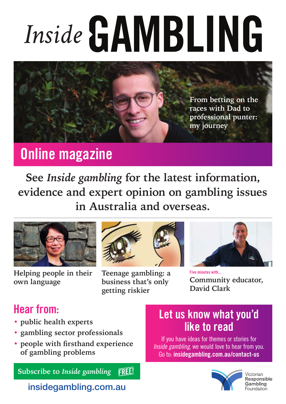# Inside GAMBLING



# Online magazine

**See** *Inside gambling* **for the latest information, evidence and expert opinion on gambling issues in Australia and overseas.**



**Helping people in their own language**



**Teenage gambling: a business that's only getting riskier**



Five minutes with... **Community educator, David Clark**

# Hear from:

- **• public health experts**
- **• gambling sector professionals**
- **• people with firsthand experience of gambling problems**

**Subscribe to** *Inside gambling***FREE!** 

## insidegambling.com.au

## Let us know what you'd like to read

If you have ideas for themes or stories for Inside gambling, we would love to hear from you. Go to: insidegambling.com.au/contact-us



/ictorian **Responsible** Gambling Foundation